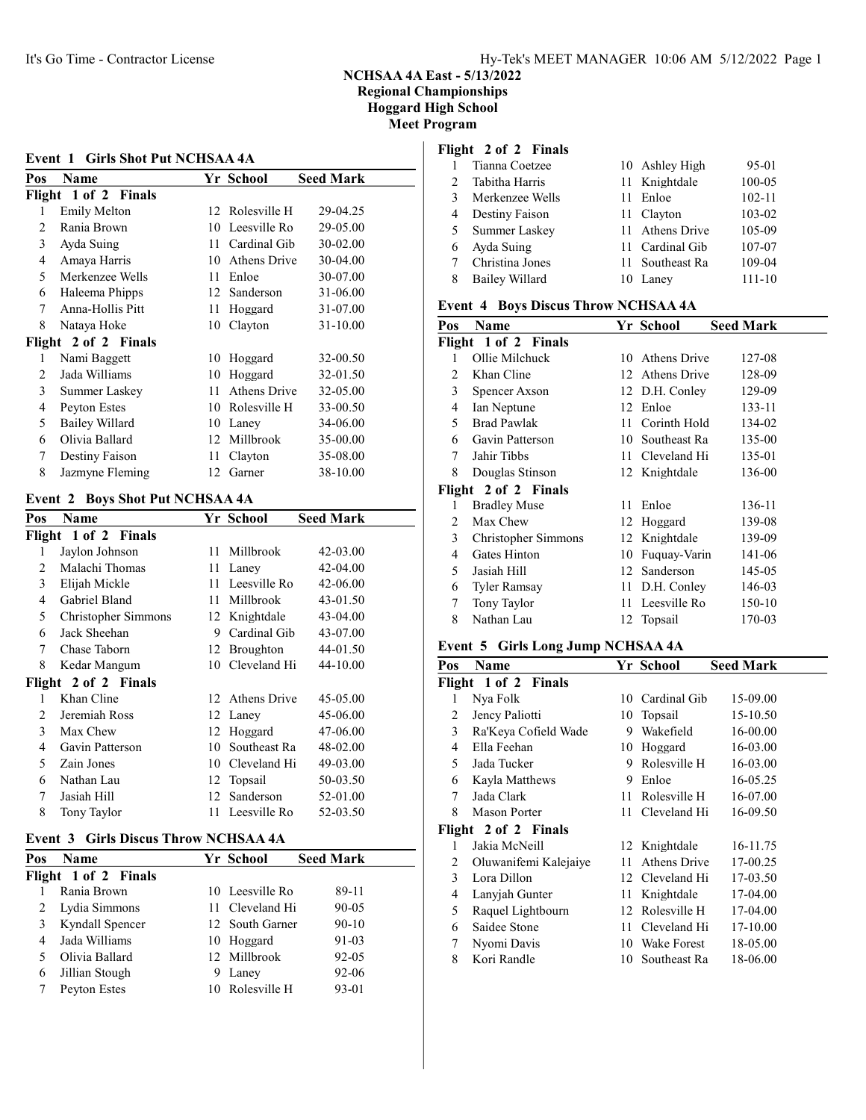#### Event 1 Girls Shot Put NCHSAA 4A

| Pos            | Name                  |    | Yr School    | <b>Seed Mark</b> |
|----------------|-----------------------|----|--------------|------------------|
|                | Flight 1 of 2 Finals  |    |              |                  |
| 1              | Emily Melton          | 12 | Rolesville H | 29-04.25         |
| $\mathfrak{D}$ | Rania Brown           | 10 | Leesville Ro | 29-05.00         |
| 3              | Ayda Suing            | 11 | Cardinal Gib | 30-02.00         |
| 4              | Amaya Harris          | 10 | Athens Drive | 30-04.00         |
| 5              | Merkenzee Wells       | 11 | Enloe        | 30-07.00         |
| 6              | Haleema Phipps        | 12 | Sanderson    | 31-06.00         |
| 7              | Anna-Hollis Pitt      | 11 | Hoggard      | 31-07.00         |
| 8              | Nataya Hoke           | 10 | Clayton      | $31 - 10.00$     |
|                | Flight 2 of 2 Finals  |    |              |                  |
| 1              | Nami Baggett          | 10 | Hoggard      | 32-00.50         |
| 2              | Jada Williams         | 10 | Hoggard      | 32-01.50         |
| 3              | Summer Laskey         | 11 | Athens Drive | 32-05.00         |
| 4              | Peyton Estes          | 10 | Rolesville H | 33-00.50         |
| 5              | <b>Bailey Willard</b> | 10 | Laney        | 34-06.00         |
| 6              | Olivia Ballard        | 12 | Millbrook    | 35-00.00         |
| 7              | Destiny Faison        | 11 | Clayton      | 35-08.00         |
| 8              | Jazmyne Fleming       | 12 | Garner       | 38-10.00         |

#### Event 2 Boys Shot Put NCHSAA 4A

| Pos            | Name                 |    | Yr School        | <b>Seed Mark</b> |
|----------------|----------------------|----|------------------|------------------|
| Flight         | 1 of 2 Finals        |    |                  |                  |
| 1              | Jaylon Johnson       | 11 | Millbrook        | 42-03.00         |
| 2              | Malachi Thomas       | 11 | Laney            | 42-04.00         |
| 3              | Elijah Mickle        | 11 | Leesville Ro     | 42-06.00         |
| 4              | Gabriel Bland        | 11 | Millbrook        | 43-01.50         |
| 5              | Christopher Simmons  | 12 | Knightdale       | 43-04.00         |
| 6              | Jack Sheehan         | 9  | Cardinal Gib     | 43-07.00         |
| 7              | Chase Taborn         | 12 | <b>Broughton</b> | 44-01.50         |
| 8              | Kedar Mangum         | 10 | Cleveland Hi     | 44-10.00         |
|                | Flight 2 of 2 Finals |    |                  |                  |
| 1              | Khan Cline           | 12 | Athens Drive     | 45-05.00         |
| $\mathfrak{D}$ | Jeremiah Ross        | 12 | Laney            | 45-06.00         |
| 3              | Max Chew             | 12 | Hoggard          | 47-06.00         |
| 4              | Gavin Patterson      | 10 | Southeast Ra     | 48-02.00         |
| 5              | Zain Jones           | 10 | Cleveland Hi     | 49-03.00         |
| 6              | Nathan Lau           | 12 | Topsail          | 50-03.50         |
| 7              | Jasiah Hill          | 12 | Sanderson        | 52-01.00         |
| 8              | Tony Taylor          | 11 | Leesville Ro     | 52-03.50         |
|                |                      |    |                  |                  |

#### Event 3 Girls Discus Throw NCHSAA 4A

| Pos | <b>Name</b>          |   | Yr School       | <b>Seed Mark</b> |  |  |  |  |
|-----|----------------------|---|-----------------|------------------|--|--|--|--|
|     | Flight 1 of 2 Finals |   |                 |                  |  |  |  |  |
|     | Rania Brown          |   | 10 Leesville Ro | 89-11            |  |  |  |  |
|     | Lydia Simmons        |   | 11 Cleveland Hi | $90 - 05$        |  |  |  |  |
|     | Kyndall Spencer      |   | 12 South Garner | $90-10$          |  |  |  |  |
| 4   | Jada Williams        |   | 10 Hoggard      | 91-03            |  |  |  |  |
|     | Olivia Ballard       |   | 12 Millbrook    | $92 - 05$        |  |  |  |  |
| 6   | Jillian Stough       | 9 | Lanev           | 92-06            |  |  |  |  |
|     | Peyton Estes         |   | 10 Rolesville H | $93 - 01$        |  |  |  |  |
|     |                      |   |                 |                  |  |  |  |  |

## Flight 2 of 2 Finals

|                | Tianna Coetzee  |    | 10 Ashley High  | 95-01      |
|----------------|-----------------|----|-----------------|------------|
| $\mathfrak{D}$ | Tabitha Harris  |    | 11 Knightdale   | 100-05     |
| 3              | Merkenzee Wells |    | 11 Enloe        | $102 - 11$ |
| 4              | Destiny Faison  |    | 11 Clayton      | 103-02     |
| 5              | Summer Laskey   |    | 11 Athens Drive | 105-09     |
| 6              | Ayda Suing      |    | 11 Cardinal Gib | 107-07     |
|                | Christina Jones |    | 11 Southeast Ra | 109-04     |
|                | Bailey Willard  | 10 | Lanev           | $111 - 10$ |

## Event 4 Boys Discus Throw NCHSAA 4A

| Pos | Name                 |      | Yr School       | <b>Seed Mark</b> |
|-----|----------------------|------|-----------------|------------------|
|     | Flight 1 of 2 Finals |      |                 |                  |
| 1   | Ollie Milchuck       | 10   | Athens Drive    | 127-08           |
| 2   | Khan Cline           |      | 12 Athens Drive | 128-09           |
| 3   | Spencer Axson        |      | 12 D.H. Conley  | 129-09           |
| 4   | Ian Neptune          |      | 12 Enloe        | 133-11           |
| 5   | <b>Brad Pawlak</b>   | 11   | Corinth Hold    | 134-02           |
| 6   | Gavin Patterson      | 10   | Southeast Ra    | 135-00           |
| 7   | Jahir Tibbs          | 11 - | Cleveland Hi    | 135-01           |
| 8   | Douglas Stinson      |      | 12 Knightdale   | 136-00           |
|     | Flight 2 of 2 Finals |      |                 |                  |
| 1   | <b>Bradley Muse</b>  | 11   | Enloe           | 136-11           |
| 2   | Max Chew             |      | 12 Hoggard      | 139-08           |
| 3   | Christopher Simmons  |      | 12 Knightdale   | 139-09           |
| 4   | Gates Hinton         | 10   | Fuquay-Varin    | 141-06           |
| 5   | Jasiah Hill          | 12   | Sanderson       | 145-05           |
| 6   | <b>Tyler Ramsay</b>  |      | 11 D.H. Conley  | 146-03           |
| 7   | Tony Taylor          | 11   | Leesville Ro    | 150-10           |
| 8   | Nathan Lau           |      | 12 Topsail      | 170-03           |
|     |                      |      |                 |                  |

#### Event 5 Girls Long Jump NCHSAA 4A

| Pos | Name                  |    | Yr School       | <b>Seed Mark</b> |  |
|-----|-----------------------|----|-----------------|------------------|--|
|     | Flight 1 of 2 Finals  |    |                 |                  |  |
| 1   | Nya Folk              | 10 | Cardinal Gib    | 15-09.00         |  |
| 2   | Jency Paliotti        | 10 | Topsail         | 15-10.50         |  |
| 3   | Ra'Keya Cofield Wade  | 9  | Wakefield       | 16-00.00         |  |
| 4   | Ella Feehan           | 10 | Hoggard         | 16-03.00         |  |
| 5   | Jada Tucker           | 9  | Rolesville H    | 16-03.00         |  |
| 6   | Kayla Matthews        | 9  | Enloe           | 16-05.25         |  |
| 7   | Jada Clark            | 11 | Rolesville H    | 16-07.00         |  |
| 8   | Mason Porter          | 11 | Cleveland Hi    | 16-09.50         |  |
|     | Flight 2 of 2 Finals  |    |                 |                  |  |
| 1   | Jakia McNeill         |    | 12 Knightdale   | 16-11.75         |  |
| 2   | Oluwanifemi Kalejaiye | 11 | Athens Drive    | 17-00.25         |  |
| 3   | Lora Dillon           |    | 12 Cleveland Hi | 17-03.50         |  |
| 4   | Lanyjah Gunter        | 11 | Knightdale      | 17-04.00         |  |
| 5   | Raquel Lightbourn     | 12 | Rolesville H    | 17-04.00         |  |
| 6   | Saidee Stone          | 11 | Cleveland Hi    | 17-10.00         |  |
| 7   | Nyomi Davis           | 10 | Wake Forest     | 18-05.00         |  |
| 8   | Kori Randle           |    | 10 Southeast Ra | 18-06.00         |  |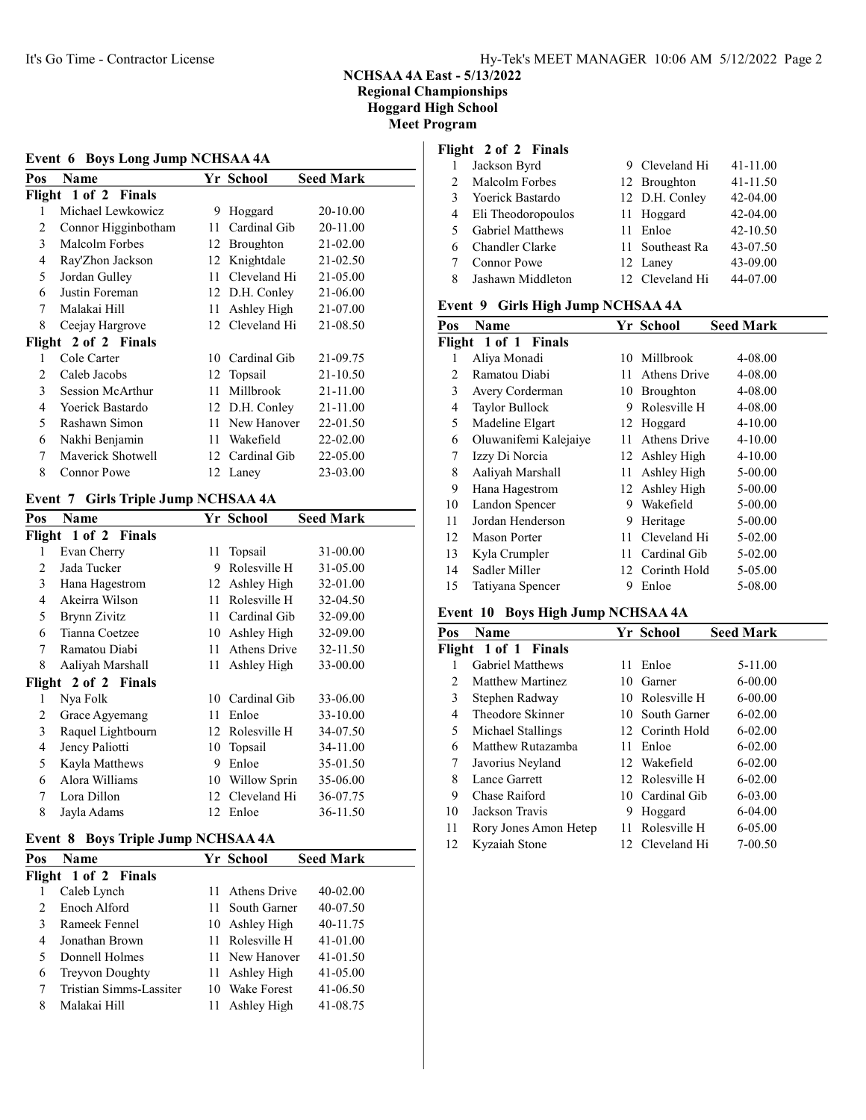# Event 6 Boys Long Jump NCHSAA 4A

| Pos | Name                 |      | Yr School       | <b>Seed Mark</b> |
|-----|----------------------|------|-----------------|------------------|
|     | Flight 1 of 2 Finals |      |                 |                  |
| 1   | Michael Lewkowicz    | 9    | Hoggard         | 20-10.00         |
| 2   | Connor Higginbotham  | 11 - | Cardinal Gib    | 20-11.00         |
| 3   | Malcolm Forbes       | 12   | Broughton       | 21-02.00         |
| 4   | Ray'Zhon Jackson     | 12   | Knightdale      | 21-02.50         |
| 5   | Jordan Gulley        | 11   | Cleveland Hi    | 21-05.00         |
| 6   | Justin Foreman       |      | 12 D.H. Conley  | 21-06.00         |
| 7   | Malakai Hill         | 11   | Ashley High     | 21-07.00         |
| 8   | Ceejay Hargrove      |      | 12 Cleveland Hi | 21-08.50         |
|     | Flight 2 of 2 Finals |      |                 |                  |
| 1   | Cole Carter          | 10   | Cardinal Gib    | 21-09.75         |
| 2   | Caleb Jacobs         |      | 12 Topsail      | 21-10.50         |
| 3   | Session McArthur     | 11   | Millbrook       | 21-11.00         |
| 4   | Yoerick Bastardo     |      | 12 D.H. Conley  | 21-11.00         |
| 5   | Rashawn Simon        | 11   | New Hanover     | 22-01.50         |
| 6   | Nakhi Benjamin       | 11   | Wakefield       | 22-02.00         |
| 7   | Maverick Shotwell    |      | 12 Cardinal Gib | 22-05.00         |
| 8   | Connor Powe          |      | 12 Laney        | 23-03.00         |

#### Event 7 Girls Triple Jump NCHSAA 4A

| Pos    | Name                 |    | Yr School    | <b>Seed Mark</b> |
|--------|----------------------|----|--------------|------------------|
|        | Flight 1 of 2 Finals |    |              |                  |
| 1      | Evan Cherry          | 11 | Topsail      | 31-00.00         |
| 2      | Jada Tucker          | 9  | Rolesville H | 31-05.00         |
| 3      | Hana Hagestrom       | 12 | Ashley High  | 32-01.00         |
| 4      | Akeirra Wilson       | 11 | Rolesville H | 32-04.50         |
| 5      | Brynn Zivitz         | 11 | Cardinal Gib | 32-09.00         |
| 6      | Tianna Coetzee       | 10 | Ashley High  | 32-09.00         |
| 7      | Ramatou Diabi        | 11 | Athens Drive | 32-11.50         |
| 8      | Aaliyah Marshall     | 11 | Ashley High  | 33-00.00         |
| Flight | 2 of 2 Finals        |    |              |                  |
| 1      | Nya Folk             | 10 | Cardinal Gib | 33-06.00         |
| 2      | Grace Agyemang       | 11 | Enloe        | 33-10.00         |
| 3      | Raquel Lightbourn    | 12 | Rolesville H | 34-07.50         |
| 4      | Jency Paliotti       | 10 | Topsail      | 34-11.00         |
| 5      | Kayla Matthews       | 9  | Enloe        | 35-01.50         |
| 6      | Alora Williams       | 10 | Willow Sprin | 35-06.00         |
| 7      | Lora Dillon          | 12 | Cleveland Hi | 36-07.75         |
| 8      | Jayla Adams          | 12 | Enloe        | 36-11.50         |

#### Event 8 Boys Triple Jump NCHSAA 4A

| Pos | <b>Name</b>             |     | Yr School       | <b>Seed Mark</b> |
|-----|-------------------------|-----|-----------------|------------------|
|     | Flight 1 of 2 Finals    |     |                 |                  |
|     | Caleb Lynch             | 11  | Athens Drive    | $40 - 02.00$     |
|     | Enoch Alford            | 11. | South Garner    | 40-07.50         |
|     | Rameek Fennel           |     | 10 Ashley High  | 40-11.75         |
| 4   | Jonathan Brown          |     | 11 Rolesville H | $41 - 01.00$     |
|     | Donnell Holmes          |     | 11 New Hanover  | 41-01.50         |
| 6   | <b>Treyvon Doughty</b>  |     | 11 Ashley High  | 41-05.00         |
|     | Tristian Simms-Lassiter |     | 10 Wake Forest  | 41-06.50         |
| 8   | Malakai Hill            |     | Ashlev High     | 41-08.75         |

## Flight 2 of 2 Finals

|               | Jackson Byrd            | 9 Cleveland Hi  | $41 - 11.00$ |
|---------------|-------------------------|-----------------|--------------|
| $\mathcal{D}$ | Malcolm Forbes          | 12 Broughton    | $41 - 11.50$ |
| 3             | Yoerick Bastardo        | 12 D.H. Conley  | 42-04.00     |
| 4             | Eli Theodoropoulos      | 11 Hoggard      | 42-04.00     |
| 5.            | <b>Gabriel Matthews</b> | 11 Enloe        | 42-10.50     |
| 6             | Chandler Clarke         | 11 Southeast Ra | 43-07.50     |
|               | Connor Powe             | 12 Lanev        | 43-09.00     |
| 8             | Jashawn Middleton       | 12 Cleveland Hi | 44-07.00     |

### Event 9 Girls High Jump NCHSAA 4A

| Pos | Name                  |     | Yr School           | <b>Seed Mark</b> |
|-----|-----------------------|-----|---------------------|------------------|
|     | Flight 1 of 1 Finals  |     |                     |                  |
|     | Aliya Monadi          |     | 10 Millbrook        | 4-08.00          |
| 2   | Ramatou Diabi         | 11  | <b>Athens Drive</b> | 4-08.00          |
| 3   | Avery Corderman       | 10  | Broughton           | 4-08.00          |
| 4   | Taylor Bullock        | 9   | Rolesville H        | 4-08.00          |
| 5   | Madeline Elgart       |     | 12 Hoggard          | $4 - 10.00$      |
| 6   | Oluwanifemi Kalejaiye | 11  | <b>Athens Drive</b> | $4 - 10.00$      |
| 7   | Izzy Di Norcia        |     | 12 Ashley High      | $4 - 10.00$      |
| 8   | Aaliyah Marshall      | 11  | Ashley High         | 5-00.00          |
| 9   | Hana Hagestrom        |     | 12 Ashley High      | 5-00.00          |
| 10  | Landon Spencer        | 9   | Wakefield           | 5-00.00          |
| 11  | Jordan Henderson      | 9   | Heritage            | 5-00.00          |
| 12  | <b>Mason Porter</b>   | 11. | Cleveland Hi        | 5-02.00          |
| 13  | Kyla Crumpler         | 11  | Cardinal Gib        | 5-02.00          |
| 14  | Sadler Miller         |     | 12 Corinth Hold     | 5-05.00          |
| 15  | Tatiyana Spencer      | 9   | Enloe               | 5-08.00          |

#### Event 10 Boys High Jump NCHSAA 4A

| Pos | Name                    |     | Yr School       | <b>Seed Mark</b> |
|-----|-------------------------|-----|-----------------|------------------|
|     | Flight 1 of 1 Finals    |     |                 |                  |
|     | <b>Gabriel Matthews</b> | 11. | Enloe           | $5 - 11.00$      |
| 2   | Matthew Martinez        | 10  | Garner          | $6 - 00.00$      |
| 3   | Stephen Radway          |     | 10 Rolesville H | $6 - 00.00$      |
| 4   | Theodore Skinner        |     | 10 South Garner | $6 - 02.00$      |
| 5   | Michael Stallings       |     | 12 Corinth Hold | $6 - 02.00$      |
| 6   | Matthew Rutazamba       | 11  | Enloe           | $6 - 02.00$      |
| 7   | Javorius Neyland        |     | 12 Wakefield    | $6-02.00$        |
| 8   | Lance Garrett           |     | 12 Rolesville H | $6 - 02.00$      |
| 9   | Chase Raiford           |     | 10 Cardinal Gib | $6 - 03.00$      |
| 10  | Jackson Travis          | 9   | Hoggard         | $6-04.00$        |
| 11  | Rory Jones Amon Hetep   | 11. | Rolesville H    | $6 - 05.00$      |
| 12  | Kyzaiah Stone           |     | 12 Cleveland Hi | $7 - 00.50$      |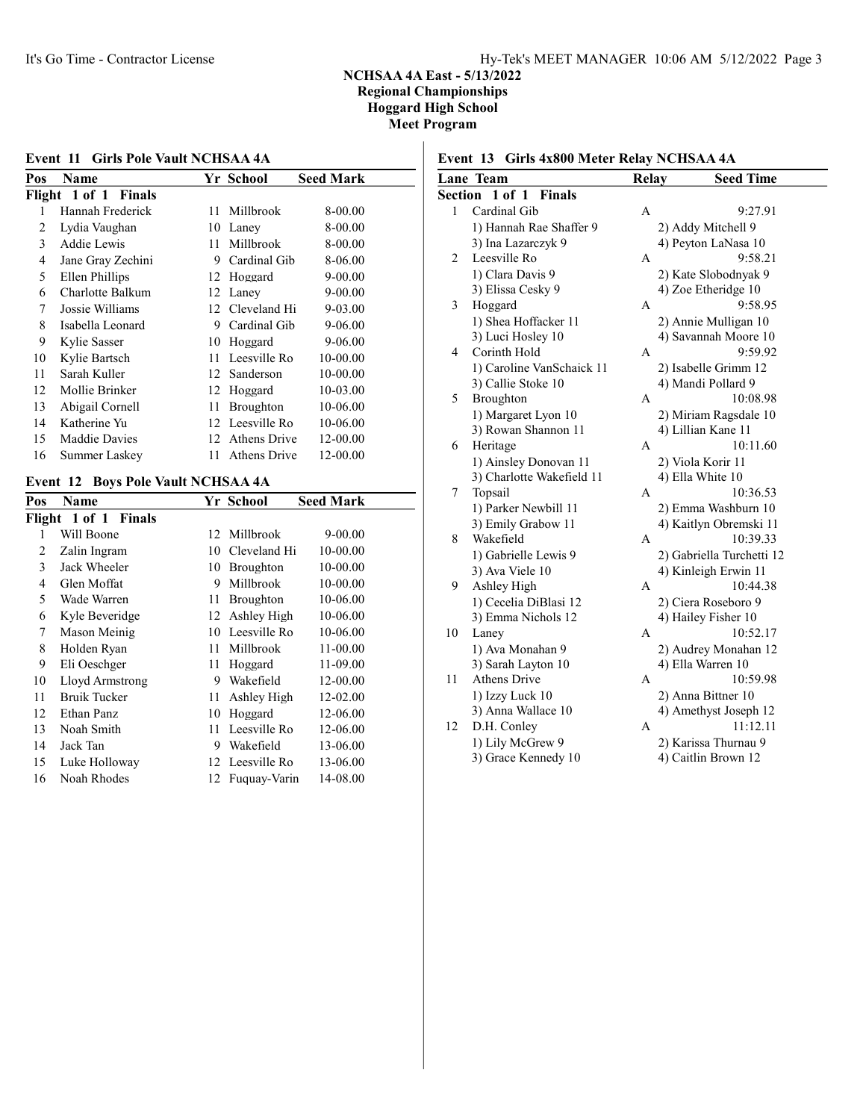#### Event 11 Girls Pole Vault NCHSAA 4A Pos Name Yr School Seed Mark Flight 1 of 1 Finals 1 Hannah Frederick 11 Millbrook 8-00.00 2 Lydia Vaughan 10 Laney 8-00.00 3 Addie Lewis 11 Millbrook 8-00.00 4 Jane Gray Zechini 9 Cardinal Gib 8-06.00 5 Ellen Phillips 12 Hoggard 9-00.00 6 Charlotte Balkum 12 Laney 9-00.00 7 Jossie Williams 12 Cleveland Hi 9-03.00 8 Isabella Leonard 9 Cardinal Gib 9-06.00 9 Kylie Sasser 10 Hoggard 9-06.00 10 Kylie Bartsch 11 Leesville Ro 10-00.00 11 Sarah Kuller 12 Sanderson 10-00.00 12 Mollie Brinker 12 Hoggard 10-03.00 13 Abigail Cornell 11 Broughton 10-06.00 14 Katherine Yu 12 Leesville Ro 10-06.00 15 Maddie Davies 12 Athens Drive 12-00.00 16 Summer Laskey 11 Athens Drive 12-00.00

#### Event 12 Boys Pole Vault NCHSAA 4A

| Flight<br>1 of 1 Finals<br>Will Boone<br>$9 - 00.00$<br>Millbrook<br>12<br>1<br>10-00.00<br>Cleveland Hi<br>$\overline{c}$ | <b>Seed Mark</b> |
|----------------------------------------------------------------------------------------------------------------------------|------------------|
|                                                                                                                            |                  |
|                                                                                                                            |                  |
| Zalin Ingram<br>10                                                                                                         |                  |
| 3<br>Jack Wheeler<br>10-00.00<br>Broughton<br>10                                                                           |                  |
| 10-00.00<br>Millbrook<br>Glen Moffat<br>9<br>4                                                                             |                  |
| 5<br>10-06.00<br>Wade Warren<br><b>Broughton</b><br>11                                                                     |                  |
| 10-06.00<br>Kyle Beveridge<br>Ashley High<br>6<br>12                                                                       |                  |
| Leesville Ro<br>10-06.00<br>7<br>Mason Meinig<br>10                                                                        |                  |
| 8<br>Millbrook<br>11-00.00<br>Holden Ryan<br>11                                                                            |                  |
| 9<br>11-09.00<br>Eli Oeschger<br>11<br>Hoggard                                                                             |                  |
| 12-00.00<br>Wakefield<br>10<br>Lloyd Armstrong<br>9                                                                        |                  |
| 12-02.00<br>11<br><b>Bruik Tucker</b><br>Ashley High<br>11                                                                 |                  |
| 12-06.00<br>12<br>Ethan Panz<br>10<br>Hoggard                                                                              |                  |
| 12-06.00<br>13<br>Noah Smith<br>Leesville Ro<br>11                                                                         |                  |
| 13-06.00<br>14<br>Jack Tan<br>9<br>Wakefield                                                                               |                  |
| 13-06.00<br>12 Leesville Ro<br>15<br>Luke Holloway                                                                         |                  |
| Noah Rhodes<br>14-08.00<br>16<br>12<br>Fuguay-Varin                                                                        |                  |

## Event 13 Girls 4x800 Meter Relay NCHSAA 4A

|                | <b>Lane Team</b>          | <b>Relay</b> | <b>Seed Time</b>          |
|----------------|---------------------------|--------------|---------------------------|
| <b>Section</b> | 1 of 1 Finals             |              |                           |
| 1              | Cardinal Gib              | A            | 9:27.91                   |
|                | 1) Hannah Rae Shaffer 9   |              | 2) Addy Mitchell 9        |
|                | 3) Ina Lazarczyk 9        |              | 4) Peyton LaNasa 10       |
| 2              | Leesville Ro              | А            | 9:58.21                   |
|                | 1) Clara Davis 9          |              | 2) Kate Slobodnyak 9      |
|                | 3) Elissa Cesky 9         |              | 4) Zoe Etheridge 10       |
| 3              | Hoggard                   | A            | 9:58.95                   |
|                | 1) Shea Hoffacker 11      |              | 2) Annie Mulligan 10      |
|                | 3) Luci Hosley 10         |              | 4) Savannah Moore 10      |
| 4              | Corinth Hold              | A            | 9:59.92                   |
|                | 1) Caroline VanSchaick 11 |              | 2) Isabelle Grimm 12      |
|                | 3) Callie Stoke 10        |              | 4) Mandi Pollard 9        |
| 5              | Broughton                 | A            | 10:08.98                  |
|                | 1) Margaret Lyon 10       |              | 2) Miriam Ragsdale 10     |
|                | 3) Rowan Shannon 11       |              | 4) Lillian Kane 11        |
| 6              | Heritage                  | A            | 10:11.60                  |
|                | 1) Ainsley Donovan 11     |              | 2) Viola Korir 11         |
|                | 3) Charlotte Wakefield 11 |              | 4) Ella White 10          |
| 7              | Topsail                   | A            | 10:36.53                  |
|                | 1) Parker Newbill 11      |              | 2) Emma Washburn 10       |
|                | 3) Emily Grabow 11        |              | 4) Kaitlyn Obremski 11    |
| 8              | Wakefield                 | A            | 10:39.33                  |
|                | 1) Gabrielle Lewis 9      |              | 2) Gabriella Turchetti 12 |
|                | 3) Ava Viele 10           |              | 4) Kinleigh Erwin 11      |
| 9              | Ashley High               | A            | 10:44.38                  |
|                | 1) Cecelia DiBlasi 12     |              | 2) Ciera Roseboro 9       |
|                | 3) Emma Nichols 12        |              | 4) Hailey Fisher 10       |
| 10             | Laney                     | А            | 10:52.17                  |
|                | 1) Ava Monahan 9          |              | 2) Audrey Monahan 12      |
|                | 3) Sarah Layton 10        |              | 4) Ella Warren 10         |
| 11             | <b>Athens Drive</b>       | А            | 10:59.98                  |
|                | 1) Izzy Luck 10           |              | 2) Anna Bittner 10        |
|                | 3) Anna Wallace 10        |              | 4) Amethyst Joseph 12     |
| 12             | D.H. Conley               | A            | 11:12.11                  |
|                | 1) Lily McGrew 9          |              | 2) Karissa Thurnau 9      |
|                | 3) Grace Kennedy 10       |              | 4) Caitlin Brown 12       |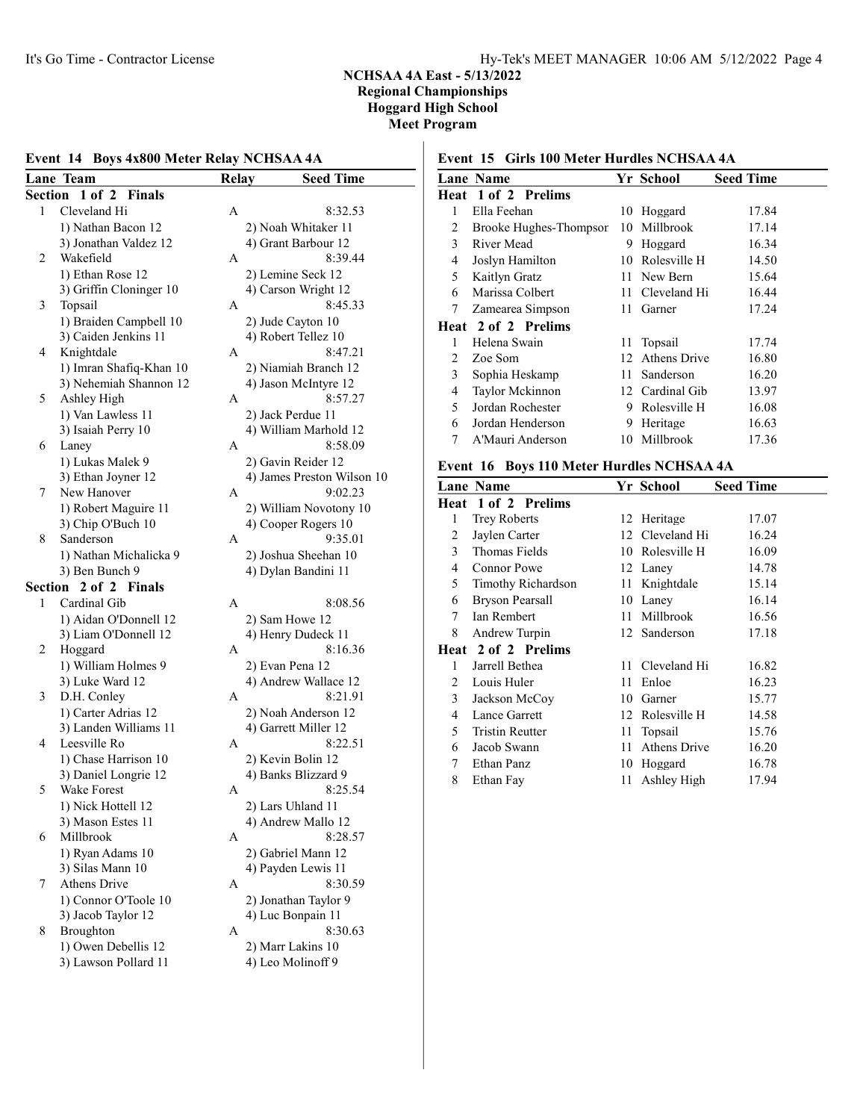### Event 14 Boys 4x800 Meter Relay NCHSAA 4A

|         | Lane Team                                     | Relay | <b>Seed Time</b>                            |
|---------|-----------------------------------------------|-------|---------------------------------------------|
| Section | $1$ of $2$<br><b>Finals</b>                   |       |                                             |
| 1       | Cleveland Hi                                  | А     | 8:32.53                                     |
|         | 1) Nathan Bacon 12                            |       | 2) Noah Whitaker 11                         |
|         | 3) Jonathan Valdez 12                         |       | 4) Grant Barbour 12                         |
| 2       | Wakefield                                     | А     | 8:39.44                                     |
|         | 1) Ethan Rose 12                              |       | 2) Lemine Seck 12                           |
|         | 3) Griffin Cloninger 10                       |       | 4) Carson Wright 12                         |
| 3       | Topsail                                       | A     | 8:45.33                                     |
|         | 1) Braiden Campbell 10                        |       | 2) Jude Cayton 10                           |
|         | 3) Caiden Jenkins 11                          |       | 4) Robert Tellez 10                         |
| 4       | Knightdale                                    | А     | 8:47.21                                     |
|         | 1) Imran Shafiq-Khan 10                       |       | 2) Niamiah Branch 12                        |
|         | 3) Nehemiah Shannon 12                        |       | 4) Jason McIntyre 12                        |
| 5       | Ashley High                                   | А     | 8:57.27                                     |
|         | 1) Van Lawless 11                             |       | 2) Jack Perdue 11                           |
|         | 3) Isaiah Perry 10                            |       | 4) William Marhold 12                       |
| 6       | Laney                                         | А     | 8:58.09                                     |
|         | 1) Lukas Malek 9                              |       | 2) Gavin Reider 12                          |
|         | 3) Ethan Joyner 12                            |       | 4) James Preston Wilson 10                  |
| 7       | New Hanover                                   | А     | 9:02.23                                     |
|         | 1) Robert Maguire 11                          |       | 2) William Novotony 10                      |
|         | 3) Chip O'Buch 10                             |       | 4) Cooper Rogers 10                         |
| 8       | Sanderson                                     | A     | 9:35.01                                     |
|         | 1) Nathan Michalicka 9                        |       | 2) Joshua Sheehan 10                        |
|         | 3) Ben Bunch 9                                |       | 4) Dylan Bandini 11                         |
| Section | 2 of 2 Finals                                 |       |                                             |
| 1       | Cardinal Gib                                  | A     | 8:08.56                                     |
|         |                                               |       |                                             |
|         | 1) Aidan O'Donnell 12<br>3) Liam O'Donnell 12 |       | 2) Sam Howe 12<br>4) Henry Dudeck 11        |
| 2       |                                               | A     | 8:16.36                                     |
|         | Hoggard<br>1) William Holmes 9                |       |                                             |
|         | 3) Luke Ward 12                               |       | 2) Evan Pena 12<br>4) Andrew Wallace 12     |
| 3       | D.H. Conley                                   | А     | 8:21.91                                     |
|         | 1) Carter Adrias 12                           |       |                                             |
|         | 3) Landen Williams 11                         |       | 2) Noah Anderson 12<br>4) Garrett Miller 12 |
| 4       | Leesville Ro                                  | А     | 8:22.51                                     |
|         |                                               |       |                                             |
|         | 1) Chase Harrison 10<br>3) Daniel Longrie 12  |       | 2) Kevin Bolin 12<br>4) Banks Blizzard 9    |
| 5       | Wake Forest                                   | А     | 8:25.54                                     |
|         |                                               |       |                                             |
|         | 1) Nick Hottell 12                            |       | 2) Lars Uhland 11                           |
| 6       | 3) Mason Estes 11                             |       | 4) Andrew Mallo 12                          |
|         | Millbrook                                     | А     | 8:28.57                                     |
|         | 1) Ryan Adams 10                              |       | 2) Gabriel Mann 12                          |
|         | 3) Silas Mann 10                              |       | 4) Payden Lewis 11                          |
| 7       | Athens Drive                                  | А     | 8:30.59                                     |
|         | 1) Connor O'Toole 10                          |       | 2) Jonathan Taylor 9                        |
|         | 3) Jacob Taylor 12                            |       | 4) Luc Bonpain 11                           |
| 8       | Broughton                                     | A     | 8:30.63                                     |
|         | 1) Owen Debellis 12                           |       | 2) Marr Lakins 10                           |
|         | 3) Lawson Pollard 11                          |       | 4) Leo Molinoff 9                           |

## Event 15 Girls 100 Meter Hurdles NCHSAA 4A

|   | <b>Lane Name</b>       |    | Yr School           | <b>Seed Time</b> |
|---|------------------------|----|---------------------|------------------|
|   | Heat 1 of 2 Prelims    |    |                     |                  |
| 1 | Ella Feehan            |    | 10 Hoggard          | 17.84            |
| 2 | Brooke Hughes-Thompson |    | 10 Millbrook        | 17.14            |
| 3 | River Mead             | 9  | Hoggard             | 16.34            |
| 4 | Joslyn Hamilton        | 10 | Rolesville H        | 14.50            |
| 5 | Kaitlyn Gratz          |    | 11 New Bern         | 15.64            |
| 6 | Marissa Colbert        |    | 11 Cleveland Hi     | 16.44            |
| 7 | Zamearea Simpson       | 11 | Garner              | 17.24            |
|   | Heat 2 of 2 Prelims    |    |                     |                  |
| 1 | Helena Swain           | 11 | Topsail             | 17.74            |
| 2 | Zoe Som                | 12 | <b>Athens Drive</b> | 16.80            |
| 3 | Sophia Heskamp         | 11 | Sanderson           | 16.20            |
| 4 | Taylor Mckinnon        |    | 12 Cardinal Gib     | 13.97            |
| 5 | Jordan Rochester       | 9  | Rolesville H        | 16.08            |
| 6 | Jordan Henderson       | 9  | Heritage            | 16.63            |
| 7 | A'Mauri Anderson       |    | 10 Millbrook        | 17.36            |
|   |                        |    |                     |                  |

#### Event 16 Boys 110 Meter Hurdles NCHSAA 4A

|   | <b>Lane Name</b>       |    | Yr School           | <b>Seed Time</b> |
|---|------------------------|----|---------------------|------------------|
|   | Heat 1 of 2 Prelims    |    |                     |                  |
| 1 | <b>Trey Roberts</b>    |    | 12 Heritage         | 17.07            |
| 2 | Jaylen Carter          |    | 12 Cleveland Hi     | 16.24            |
| 3 | Thomas Fields          |    | 10 Rolesville H     | 16.09            |
| 4 | <b>Connor Powe</b>     |    | 12 Laney            | 14.78            |
| 5 | Timothy Richardson     |    | 11 Knightdale       | 15.14            |
| 6 | Bryson Pearsall        |    | 10 Laney            | 16.14            |
| 7 | <b>Ian Rembert</b>     |    | 11 Millbrook        | 16.56            |
| 8 | Andrew Turpin          |    | 12 Sanderson        | 17.18            |
|   | Heat 2 of 2 Prelims    |    |                     |                  |
| 1 | Jarrell Bethea         | 11 | Cleveland Hi        | 16.82            |
| 2 | Louis Huler            | 11 | Enloe               | 16.23            |
| 3 | Jackson McCoy          | 10 | Garner              | 15.77            |
| 4 | Lance Garrett          |    | 12 Rolesville H     | 14.58            |
| 5 | <b>Tristin Reutter</b> | 11 | Topsail             | 15.76            |
| 6 | Jacob Swann            | 11 | <b>Athens Drive</b> | 16.20            |
| 7 | Ethan Panz             |    | 10 Hoggard          | 16.78            |
| 8 | Ethan Fay              | 11 | Ashley High         | 17.94            |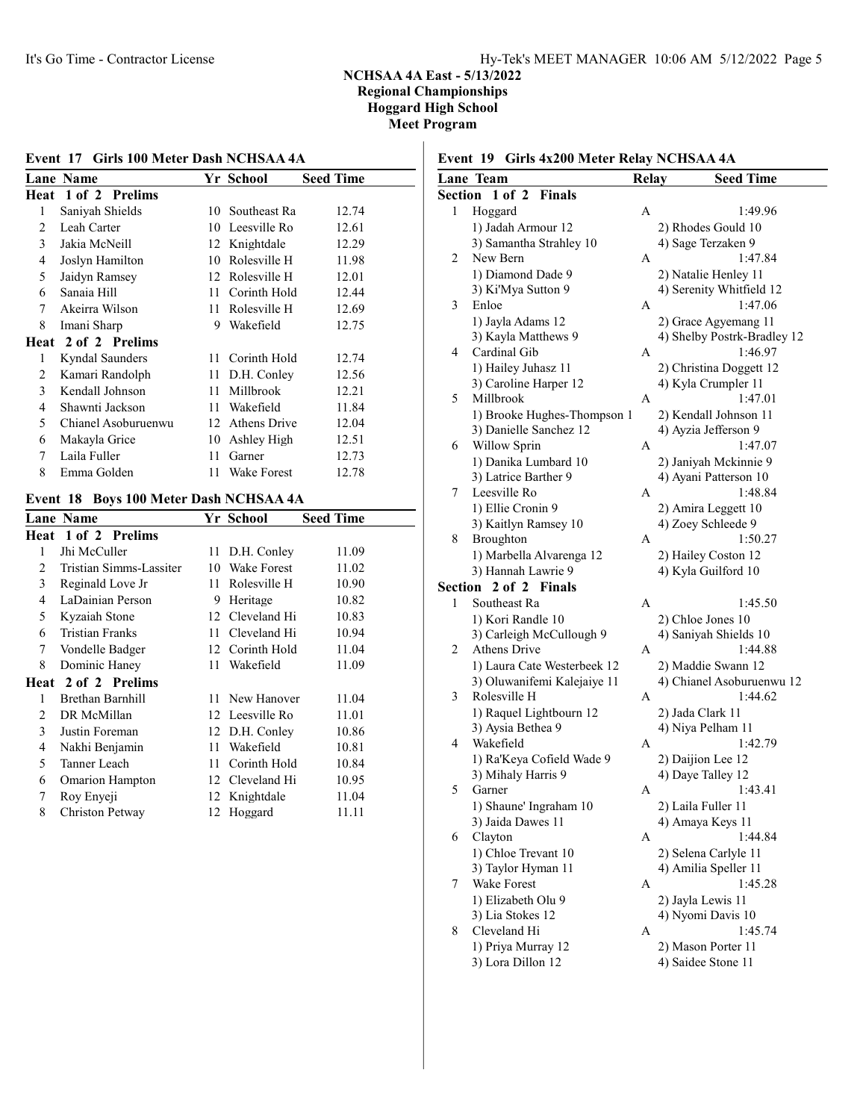## Event 17 Girls 100 Meter Dash NCHSAA 4A

|   | Lane Name           |    | Yr School       | <b>Seed Time</b> |
|---|---------------------|----|-----------------|------------------|
|   | Heat 1 of 2 Prelims |    |                 |                  |
| 1 | Saniyah Shields     |    | 10 Southeast Ra | 12.74            |
| 2 | Leah Carter         |    | 10 Leesville Ro | 12.61            |
| 3 | Jakia McNeill       |    | 12 Knightdale   | 12.29            |
| 4 | Joslyn Hamilton     | 10 | Rolesville H    | 11.98            |
| 5 | Jaidyn Ramsey       |    | 12 Rolesville H | 12.01            |
| 6 | Sanaia Hill         | 11 | Corinth Hold    | 12.44            |
| 7 | Akeirra Wilson      | 11 | Rolesville H    | 12.69            |
| 8 | Imani Sharp         | 9  | Wakefield       | 12.75            |
|   | Heat 2 of 2 Prelims |    |                 |                  |
| 1 | Kyndal Saunders     |    | 11 Corinth Hold | 12.74            |
| 2 | Kamari Randolph     |    | 11 D.H. Conley  | 12.56            |
| 3 | Kendall Johnson     | 11 | Millbrook       | 12.21            |
| 4 | Shawnti Jackson     | 11 | Wakefield       | 11.84            |
| 5 | Chianel Asoburuenwu | 12 | Athens Drive    | 12.04            |
| 6 | Makayla Grice       | 10 | Ashley High     | 12.51            |
| 7 | Laila Fuller        | 11 | Garner          | 12.73            |
| 8 | Emma Golden         | 11 | Wake Forest     | 12.78            |
|   |                     |    |                 |                  |

## Event 18 Boys 100 Meter Dash NCHSAA 4A

|   | <b>Lane Name</b>           |    | Yr School          | <b>Seed Time</b> |
|---|----------------------------|----|--------------------|------------------|
|   | <b>Heat 1 of 2 Prelims</b> |    |                    |                  |
| 1 | Jhi McCuller               | 11 | D.H. Conley        | 11.09            |
| 2 | Tristian Simms-Lassiter    | 10 | <b>Wake Forest</b> | 11.02            |
| 3 | Reginald Love Jr           | 11 | Rolesville H       | 10.90            |
| 4 | LaDainian Person           | 9  | Heritage           | 10.82            |
| 5 | Kyzaiah Stone              |    | 12 Cleveland Hi    | 10.83            |
| 6 | <b>Tristian Franks</b>     | 11 | Cleveland Hi       | 10.94            |
| 7 | Vondelle Badger            |    | 12 Corinth Hold    | 11.04            |
| 8 | Dominic Haney              | 11 | Wakefield          | 11.09            |
|   | Heat 2 of 2 Prelims        |    |                    |                  |
| 1 | <b>Brethan Barnhill</b>    |    | 11 New Hanover     | 11.04            |
| 2 | DR McMillan                |    | 12 Leesville Ro    | 11.01            |
| 3 | Justin Foreman             |    | 12 D.H. Conley     | 10.86            |
| 4 | Nakhi Benjamin             | 11 | Wakefield          | 10.81            |
| 5 | Tanner Leach               | 11 | Corinth Hold       | 10.84            |
| 6 | <b>Omarion Hampton</b>     |    | 12 Cleveland Hi    | 10.95            |
| 7 | Roy Enyeji                 | 12 | Knightdale         | 11.04            |
| 8 | Christon Petway            | 12 | Hoggard            | 11.11            |
|   |                            |    |                    |                  |

## Event 19 Girls 4x200 Meter Relay NCHSAA 4A

|         | Lane Team                                    | <b>Relay</b> | <b>Seed Time</b>                      |
|---------|----------------------------------------------|--------------|---------------------------------------|
| Section | 1 of 2<br>Finals                             |              |                                       |
| 1       | Hoggard                                      | А            | 1:49.96                               |
|         | 1) Jadah Armour 12                           |              | 2) Rhodes Gould 10                    |
|         | 3) Samantha Strahley 10                      |              | 4) Sage Terzaken 9                    |
| 2       | New Bern                                     | А            | 1:47.84                               |
|         | 1) Diamond Dade 9                            |              | 2) Natalie Henley 11                  |
|         | 3) Ki'Mya Sutton 9                           |              | 4) Serenity Whitfield 12              |
| 3       | Enloe                                        | А            | 1:47.06                               |
|         | 1) Jayla Adams 12                            |              | 2) Grace Agyemang 11                  |
|         | 3) Kayla Matthews 9                          |              | 4) Shelby Postrk-Bradley 12           |
| 4       | Cardinal Gib                                 | А            | 1:46.97                               |
|         | 1) Hailey Juhasz 11                          |              | 2) Christina Doggett 12               |
|         | 3) Caroline Harper 12                        |              | 4) Kyla Crumpler 11                   |
| 5       | Millbrook                                    | А            | 1:47.01                               |
|         | 1) Brooke Hughes-Thompson 1                  |              | 2) Kendall Johnson 11                 |
|         | 3) Danielle Sanchez 12                       |              | 4) Ayzia Jefferson 9                  |
| 6       | Willow Sprin                                 | А            | 1:47.07                               |
|         | 1) Danika Lumbard 10                         |              | 2) Janiyah Mckinnie 9                 |
|         | 3) Latrice Barther 9                         |              | 4) Ayani Patterson 10                 |
| 7       | Leesville Ro                                 | А            | 1:48.84                               |
|         | 1) Ellie Cronin 9                            |              | 2) Amira Leggett 10                   |
|         | 3) Kaitlyn Ramsey 10                         |              | 4) Zoey Schleede 9                    |
| 8       | <b>Broughton</b>                             | А            | 1:50.27                               |
|         | 1) Marbella Alvarenga 12                     |              | 2) Hailey Coston 12                   |
|         | 3) Hannah Lawrie 9                           |              | 4) Kyla Guilford 10                   |
| Section | 2 of 2 Finals                                |              |                                       |
| 1       | Southeast Ra                                 | А            | 1:45.50                               |
|         | 1) Kori Randle 10                            |              | 2) Chloe Jones 10                     |
|         | 3) Carleigh McCullough 9                     |              | 4) Saniyah Shields 10                 |
| 2       | <b>Athens Drive</b>                          | А            | 1:44.88                               |
|         | 1) Laura Cate Westerbeek 12                  |              | 2) Maddie Swann 12                    |
| 3       | 3) Oluwanifemi Kalejaiye 11<br>Rolesville H  |              | 4) Chianel Asoburuenwu 12             |
|         |                                              | А            | 1:44.62                               |
|         | 1) Raquel Lightbourn 12<br>3) Aysia Bethea 9 |              | 2) Jada Clark 11<br>4) Niya Pelham 11 |
| 4       | Wakefield                                    | Α            | 1:42.79                               |
|         | 1) Ra'Keya Cofield Wade 9                    |              | 2) Daijion Lee 12                     |
|         | 3) Mihaly Harris 9                           |              | 4) Daye Talley 12                     |
| 5       | Garner                                       | Α            | 1:43.41                               |
|         | 1) Shaune' Ingraham 10                       |              | 2) Laila Fuller 11                    |
|         | 3) Jaida Dawes 11                            |              | 4) Amaya Keys 11                      |
| 6       | Clayton                                      | А            | 1:44.84                               |
|         | 1) Chloe Trevant 10                          |              | 2) Selena Carlyle 11                  |
|         | 3) Taylor Hyman 11                           |              | 4) Amilia Speller 11                  |
| 7       | Wake Forest                                  | А            | 1:45.28                               |
|         | 1) Elizabeth Olu 9                           |              | 2) Jayla Lewis 11                     |
|         | 3) Lia Stokes 12                             |              | 4) Nyomi Davis 10                     |
| 8       | Cleveland Hi                                 | Α            | 1:45.74                               |
|         | 1) Priya Murray 12                           |              | 2) Mason Porter 11                    |
|         | 3) Lora Dillon 12                            |              | 4) Saidee Stone 11                    |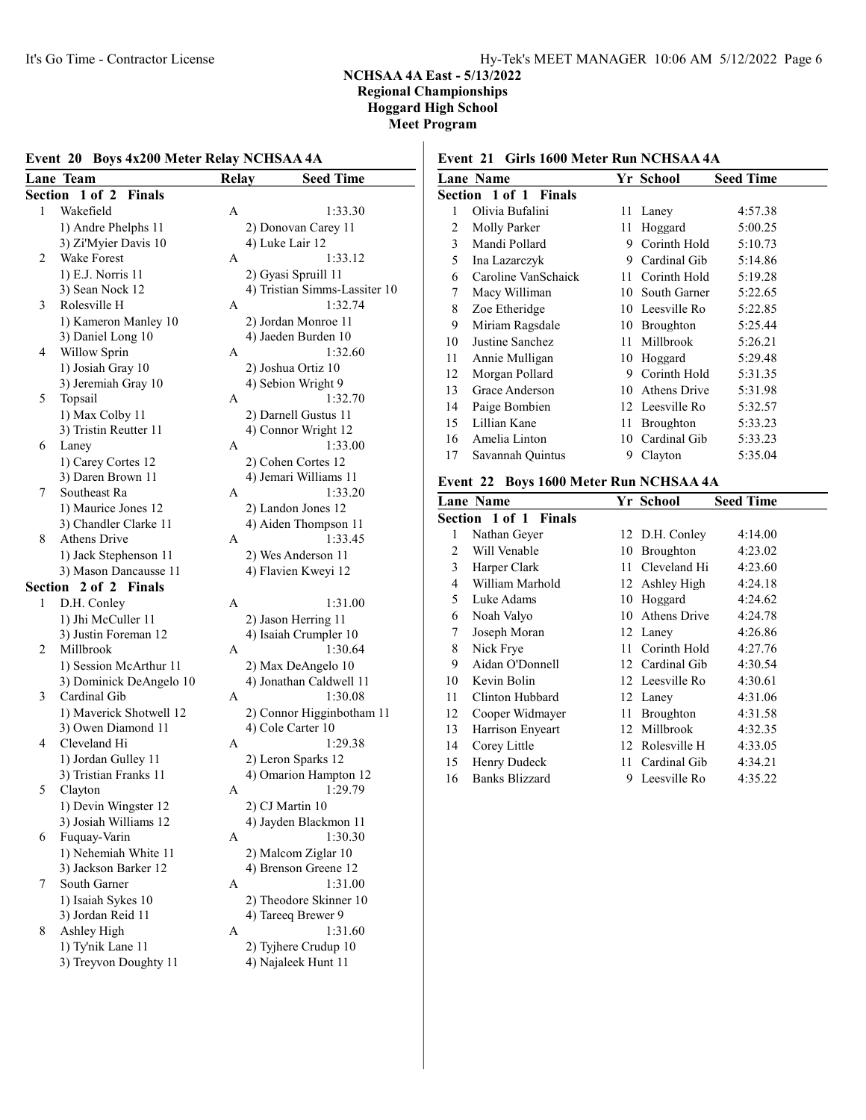### Event 20 Boys 4x200 Meter Relay NCHSAA 4A

|         | Lane Team                               | <b>Relay</b> | <b>Seed Time</b>                            |
|---------|-----------------------------------------|--------------|---------------------------------------------|
| Section | $1$ of $2$<br><b>Finals</b>             |              |                                             |
| 1       | Wakefield                               | А            | 1:33.30                                     |
|         | 1) Andre Phelphs 11                     |              | 2) Donovan Carey 11                         |
|         | 3) Zi'Myier Davis 10                    |              | 4) Luke Lair 12                             |
| 2       | <b>Wake Forest</b>                      | А            | 1:33.12                                     |
|         | 1) E.J. Norris 11                       |              | 2) Gyasi Spruill 11                         |
|         | 3) Sean Nock 12                         |              | 4) Tristian Simms-Lassiter 10               |
| 3       | Rolesville H                            | A            | 1:32.74                                     |
|         | 1) Kameron Manley 10                    |              | 2) Jordan Monroe 11                         |
|         | 3) Daniel Long 10                       |              | 4) Jaeden Burden 10                         |
| 4       | Willow Sprin                            | А            | 1:32.60                                     |
|         | 1) Josiah Gray 10                       |              | 2) Joshua Ortiz 10                          |
|         | 3) Jeremiah Gray 10                     |              | 4) Sebion Wright 9                          |
| 5       | Topsail                                 | А            | 1:32.70                                     |
|         | 1) Max Colby 11                         |              | 2) Darnell Gustus 11                        |
|         | 3) Tristin Reutter 11                   |              | 4) Connor Wright 12                         |
| 6       | Laney                                   | А            | 1:33.00                                     |
|         |                                         |              |                                             |
|         | 1) Carey Cortes 12<br>3) Daren Brown 11 |              | 2) Cohen Cortes 12<br>4) Jemari Williams 11 |
| 7       | Southeast Ra                            | A            | 1:33.20                                     |
|         |                                         |              |                                             |
|         | 1) Maurice Jones 12                     |              | 2) Landon Jones 12                          |
| 8       | 3) Chandler Clarke 11<br>Athens Drive   | A            | 4) Aiden Thompson 11<br>1:33.45             |
|         |                                         |              |                                             |
|         | 1) Jack Stephenson 11                   |              | 2) Wes Anderson 11<br>4) Flavien Kweyi 12   |
|         | 3) Mason Dancausse 11                   |              |                                             |
| Section | 2 of 2 Finals                           |              |                                             |
| 1       | D.H. Conley                             | A            | 1:31.00                                     |
|         | 1) Jhi McCuller 11                      |              | 2) Jason Herring 11                         |
|         | 3) Justin Foreman 12                    |              | 4) Isaiah Crumpler 10                       |
| 2       | Millbrook                               | А            | 1:30.64                                     |
|         | 1) Session McArthur 11                  |              | 2) Max DeAngelo 10                          |
|         | 3) Dominick DeAngelo 10                 |              | 4) Jonathan Caldwell 11                     |
| 3       | Cardinal Gib                            | A            | 1:30.08                                     |
|         | 1) Maverick Shotwell 12                 |              | 2) Connor Higginbotham 11                   |
|         | 3) Owen Diamond 11                      |              | 4) Cole Carter 10                           |
| 4       | Cleveland Hi                            | Α            | 1:29.38                                     |
|         | 1) Jordan Gulley 11                     |              | 2) Leron Sparks 12                          |
|         | 3) Tristian Franks 11                   |              | 4) Omarion Hampton 12                       |
| 5       | Clayton                                 | Α            | 1:29.79                                     |
|         | 1) Devin Wingster 12                    |              | 2) CJ Martin 10                             |
|         | 3) Josiah Williams 12                   |              | 4) Jayden Blackmon 11                       |
| 6       | Fuquay-Varin                            | Α            | 1:30.30                                     |
|         | 1) Nehemiah White 11                    |              | 2) Malcom Ziglar 10                         |
|         | 3) Jackson Barker 12                    |              | 4) Brenson Greene 12                        |
| 7       | South Garner                            | А            | 1:31.00                                     |
|         | 1) Isaiah Sykes 10                      |              | 2) Theodore Skinner 10                      |
|         | 3) Jordan Reid 11                       |              | 4) Tareeq Brewer 9                          |
| 8       | Ashley High                             | A            | 1:31.60                                     |
|         | 1) Ty'nik Lane 11                       |              | 2) Tyjhere Crudup 10                        |
|         | 3) Treyvon Doughty 11                   |              | 4) Najaleek Hunt 11                         |

## Event 21 Girls 1600 Meter Run NCHSAA 4A

|    | <b>Lane Name</b>      |                          | Yr School         | <b>Seed Time</b> |
|----|-----------------------|--------------------------|-------------------|------------------|
|    | Section 1 of 1 Finals |                          |                   |                  |
| 1  | Olivia Bufalini       | 11.                      | Laney             | 4:57.38          |
| 2  | Molly Parker          | 11                       | Hoggard           | 5:00.25          |
| 3  | Mandi Pollard         |                          | 9 Corinth Hold    | 5:10.73          |
| 5  | Ina Lazarczyk         | 9.                       | Cardinal Gib      | 5:14.86          |
| 6  | Caroline VanSchaick   |                          | 11 Corinth Hold   | 5:19.28          |
| 7  | Macy Williman         | 10                       | South Garner      | 5:22.65          |
| 8  | Zoe Etheridge         |                          | 10 Leesville Ro   | 5:22.85          |
| 9  | Miriam Ragsdale       |                          | 10 Broughton      | 5:25.44          |
| 10 | Justine Sanchez       | 11                       | Millbrook         | 5:26.21          |
| 11 | Annie Mulligan        |                          | 10 Hoggard        | 5:29.48          |
| 12 | Morgan Pollard        |                          | 9 Corinth Hold    | 5:31.35          |
| 13 | Grace Anderson        | 10                       | Athens Drive      | 5:31.98          |
| 14 | Paige Bombien         |                          | 12 Leesville Ro   | 5:32.57          |
| 15 | Lillian Kane          | 11                       | Broughton         | 5:33.23          |
| 16 | Amelia Linton         |                          | 10 Cardinal Gib   | 5:33.23          |
| 17 | Savannah Quintus      | 9                        | Clayton           | 5:35.04          |
|    | $\sim$                | $\overline{\phantom{a}}$ | <b>BIOTEO : :</b> |                  |

### Event 22 Boys 1600 Meter Run NCHSAA 4A

|    | <b>Lane Name</b>      |     | Yr School       | <b>Seed Time</b> |
|----|-----------------------|-----|-----------------|------------------|
|    | Section 1 of 1 Finals |     |                 |                  |
| 1  | Nathan Geyer          |     | 12 D.H. Conley  | 4:14.00          |
| 2  | Will Venable          | 10- | Broughton       | 4:23.02          |
| 3  | Harper Clark          | 11  | Cleveland Hi    | 4:23.60          |
| 4  | William Marhold       |     | 12 Ashley High  | 4:24.18          |
| 5  | Luke Adams            | 10  | Hoggard         | 4:24.62          |
| 6  | Noah Valyo            |     | 10 Athens Drive | 4:24.78          |
| 7  | Joseph Moran          |     | 12 Laney        | 4:26.86          |
| 8  | Nick Frye             | 11. | Corinth Hold    | 4:27.76          |
| 9  | Aidan O'Donnell       |     | 12 Cardinal Gib | 4:30.54          |
| 10 | Kevin Bolin           |     | 12 Leesville Ro | 4:30.61          |
| 11 | Clinton Hubbard       |     | 12 Laney        | 4:31.06          |
| 12 | Cooper Widmayer       | 11  | Broughton       | 4:31.58          |
| 13 | Harrison Enyeart      | 12  | Millbrook       | 4:32.35          |
| 14 | Corey Little          |     | 12 Rolesville H | 4:33.05          |
| 15 | Henry Dudeck          | 11  | Cardinal Gib    | 4:34.21          |
| 16 | <b>Banks Blizzard</b> | 9   | Leesville Ro    | 4:35.22          |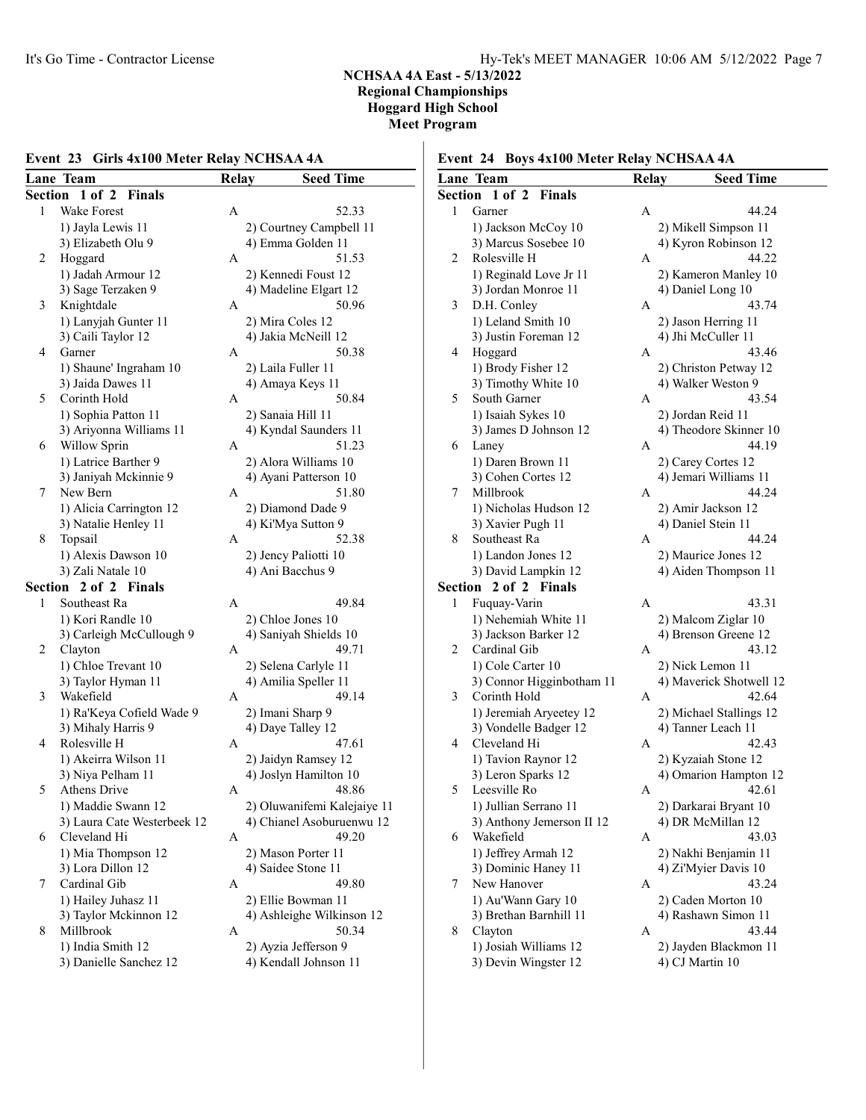## Event 23 Girls 4x100 Meter Relay NCHSAA 4A

|         | <b>Lane Team</b>            | Relay | <b>Seed Time</b>               |
|---------|-----------------------------|-------|--------------------------------|
| Section | $1$ of $2$<br>Finals        |       |                                |
| 1       | <b>Wake Forest</b>          | А     | 52.33                          |
|         | 1) Jayla Lewis 11           |       | 2) Courtney Campbell 11        |
|         | 3) Elizabeth Olu 9          |       | 4) Emma Golden 11              |
| 2       | Hoggard                     | A     | 51.53                          |
|         | 1) Jadah Armour 12          |       | 2) Kennedi Foust 12            |
|         |                             |       |                                |
| 3       | 3) Sage Terzaken 9          | А     | 4) Madeline Elgart 12<br>50.96 |
|         | Knightdale                  |       |                                |
|         | 1) Lanyjah Gunter 11        |       | 2) Mira Coles 12               |
| 4       | 3) Caili Taylor 12          |       | 4) Jakia McNeill 12            |
|         | Garner                      | А     | 50.38                          |
|         | 1) Shaune' Ingraham 10      |       | 2) Laila Fuller 11             |
|         | 3) Jaida Dawes 11           |       | 4) Amaya Keys 11               |
| 5       | Corinth Hold                | А     | 50.84                          |
|         | 1) Sophia Patton 11         |       | 2) Sanaia Hill 11              |
|         | 3) Ariyonna Williams 11     |       | 4) Kyndal Saunders 11          |
| 6       | Willow Sprin                | А     | 51.23                          |
|         | 1) Latrice Barther 9        |       | 2) Alora Williams 10           |
|         | 3) Janiyah Mckinnie 9       |       | 4) Ayani Patterson 10          |
| 7       | New Bern                    | A     | 51.80                          |
|         | 1) Alicia Carrington 12     |       | 2) Diamond Dade 9              |
|         | 3) Natalie Henley 11        |       | 4) Ki'Mya Sutton 9             |
| 8       | Topsail                     | A     | 52.38                          |
|         | 1) Alexis Dawson 10         |       | 2) Jency Paliotti 10           |
|         | 3) Zali Natale 10           |       | 4) Ani Bacchus 9               |
| Section | 2 of 2 Finals               |       |                                |
| 1       | Southeast Ra                | A     | 49.84                          |
|         | 1) Kori Randle 10           |       | 2) Chloe Jones 10              |
|         | 3) Carleigh McCullough 9    |       | 4) Saniyah Shields 10          |
| 2       | Clayton                     | A     | 49.71                          |
|         | 1) Chloe Trevant 10         |       | 2) Selena Carlyle 11           |
|         | 3) Taylor Hyman 11          |       | 4) Amilia Speller 11           |
| 3       | Wakefield                   | A     | 49.14                          |
|         | 1) Ra'Keya Cofield Wade 9   |       | 2) Imani Sharp 9               |
|         | 3) Mihaly Harris 9          |       | 4) Daye Talley 12              |
| 4       | Rolesville H                | Α     | 47.61                          |
|         | 1) Akeirra Wilson 11        |       | 2) Jaidyn Ramsey 12            |
|         | 3) Niya Pelham 11           |       | 4) Joslyn Hamilton 10          |
| 5       | <b>Athens Drive</b>         | Α     | 48.86                          |
|         | 1) Maddie Swann 12          |       | 2) Oluwanifemi Kalejaiye 11    |
|         | 3) Laura Cate Westerbeek 12 |       | 4) Chianel Asoburuenwu 12      |
| 6       | Cleveland Hi                | А     | 49.20                          |
|         | 1) Mia Thompson 12          |       | 2) Mason Porter 11             |
|         | 3) Lora Dillon 12           |       | 4) Saidee Stone 11             |
| 7       | Cardinal Gib                | А     | 49.80                          |
|         | 1) Hailey Juhasz 11         |       | 2) Ellie Bowman 11             |
|         | 3) Taylor Mckinnon 12       |       | 4) Ashleighe Wilkinson 12      |
| 8       | Millbrook                   | A     | 50.34                          |
|         | 1) India Smith 12           |       | 2) Ayzia Jefferson 9           |
|         | 3) Danielle Sanchez 12      |       | 4) Kendall Johnson 11          |
|         |                             |       |                                |

| Event 24 Boys 4x100 Meter Relay NCHSAA 4A |
|-------------------------------------------|
|-------------------------------------------|

|         | L , v.i., 21<br>$D_{0,19}$ rates meter inclusive the $\mu$<br>Lane Team | <b>Relay</b> | <b>Seed Time</b>                         |
|---------|-------------------------------------------------------------------------|--------------|------------------------------------------|
|         | Section 1 of 2<br><b>Finals</b>                                         |              |                                          |
| 1       |                                                                         |              |                                          |
|         | Garner                                                                  | Α            | 44.24                                    |
|         | 1) Jackson McCoy 10                                                     |              | 2) Mikell Simpson 11                     |
|         | 3) Marcus Sosebee 10                                                    |              | 4) Kyron Robinson 12                     |
| 2       | Rolesville H                                                            | A            | 44.22                                    |
|         | 1) Reginald Love Jr 11                                                  |              | 2) Kameron Manley 10                     |
|         | 3) Jordan Monroe 11                                                     |              | 4) Daniel Long 10                        |
| 3       | D.H. Conley                                                             | A            | 43.74                                    |
|         | 1) Leland Smith 10                                                      |              | 2) Jason Herring 11                      |
|         | 3) Justin Foreman 12                                                    |              | 4) Jhi McCuller 11                       |
| 4       | Hoggard                                                                 | A            | 43.46                                    |
|         | 1) Brody Fisher 12                                                      |              | 2) Christon Petway 12                    |
|         | 3) Timothy White 10                                                     |              | 4) Walker Weston 9                       |
| 5       | South Garner                                                            | A            | 43.54                                    |
|         | 1) Isaiah Sykes 10                                                      |              | 2) Jordan Reid 11                        |
|         | 3) James D Johnson 12                                                   |              | 4) Theodore Skinner 10                   |
| 6       | Laney                                                                   | A            | 44.19                                    |
|         | 1) Daren Brown 11                                                       |              | 2) Carey Cortes 12                       |
|         | 3) Cohen Cortes 12                                                      |              | 4) Jemari Williams 11                    |
| 7       | Millbrook                                                               | A            | 44.24                                    |
|         | 1) Nicholas Hudson 12                                                   |              | 2) Amir Jackson 12                       |
|         | 3) Xavier Pugh 11                                                       |              | 4) Daniel Stein 11                       |
| 8       | Southeast Ra                                                            | А            | 44.24                                    |
|         | 1) Landon Jones 12                                                      |              | 2) Maurice Jones 12                      |
|         | 3) David Lampkin 12                                                     |              | 4) Aiden Thompson 11                     |
| Section | 2 of 2 Finals                                                           |              |                                          |
| 1       | Fuquay-Varin                                                            | A            | 43.31                                    |
|         | 1) Nehemiah White 11                                                    |              | 2) Malcom Ziglar 10                      |
|         | 3) Jackson Barker 12                                                    |              | 4) Brenson Greene 12                     |
| 2       | Cardinal Gib                                                            | A            | 43.12                                    |
|         | 1) Cole Carter 10                                                       |              | 2) Nick Lemon 11                         |
|         | 3) Connor Higginbotham 11                                               |              | 4) Maverick Shotwell 12                  |
| 3       | Corinth Hold                                                            | A            | 42.64                                    |
|         | 1) Jeremiah Aryeetey 12                                                 |              | 2) Michael Stallings 12                  |
|         | 3) Vondelle Badger 12                                                   |              | 4) Tanner Leach 11                       |
| 4       | Cleveland Hi                                                            | A            | 42.43                                    |
|         | 1) Tavion Raynor 12                                                     |              | 2) Kyzaiah Stone 12                      |
|         | 3) Leron Sparks 12                                                      |              | 4) Omarion Hampton 12                    |
| 5       | Leesville Ro                                                            | Α            | 42.61                                    |
|         | 1) Jullian Serrano 11                                                   |              | 2) Darkarai Bryant 10                    |
|         | 3) Anthony Jemerson II 12                                               |              | 4) DR McMillan 12                        |
| 6       | Wakefield                                                               | А            | 43.03                                    |
|         | 1) Jeffrey Armah 12                                                     |              | 2) Nakhi Benjamin 11                     |
|         | 3) Dominic Haney 11                                                     |              | 4) Zi'Myier Davis 10                     |
| 7       | New Hanover                                                             | A            | 43.24                                    |
|         | 1) Au'Wann Gary 10                                                      |              | 2) Caden Morton 10                       |
|         | 3) Brethan Barnhill 11                                                  |              | 4) Rashawn Simon 11                      |
| 8       | Clayton                                                                 | A            | 43.44                                    |
|         | 1) Josiah Williams 12                                                   |              |                                          |
|         | 3) Devin Wingster 12                                                    |              | 2) Jayden Blackmon 11<br>4) CJ Martin 10 |
|         |                                                                         |              |                                          |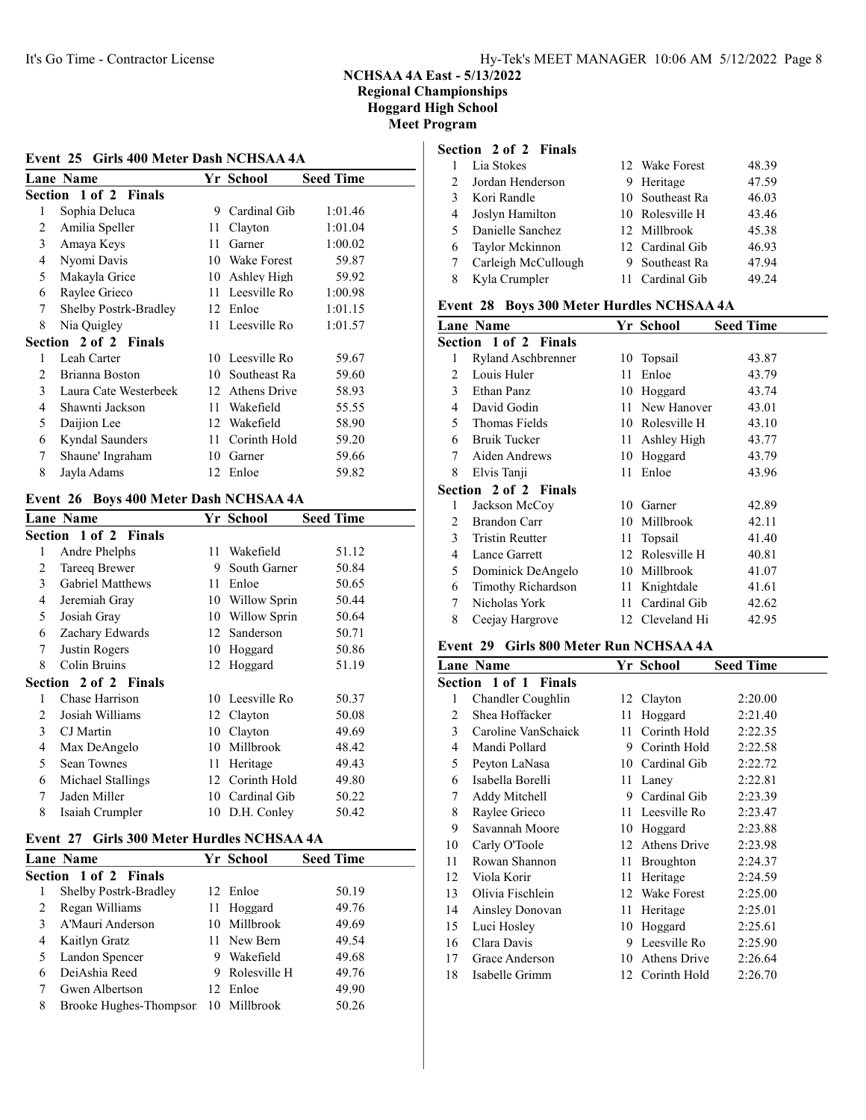#### Event 25 Girls 400 Meter Dash NCHSAA 4A

|   | Lane Name             |    | Yr School       | <b>Seed Time</b> |
|---|-----------------------|----|-----------------|------------------|
|   | Section 1 of 2 Finals |    |                 |                  |
| 1 | Sophia Deluca         | 9  | Cardinal Gib    | 1:01.46          |
| 2 | Amilia Speller        | 11 | Clayton         | 1:01.04          |
| 3 | Amaya Keys            | 11 | Garner          | 1:00.02          |
| 4 | Nyomi Davis           | 10 | Wake Forest     | 59.87            |
| 5 | Makayla Grice         | 10 | Ashley High     | 59.92            |
| 6 | Raylee Grieco         |    | 11 Leesville Ro | 1:00.98          |
| 7 | Shelby Postrk-Bradley |    | 12 Enloe        | 1:01.15          |
| 8 | Nia Quigley           |    | 11 Leesville Ro | 1:01.57          |
|   | Section 2 of 2 Finals |    |                 |                  |
| 1 | Leah Carter           |    | 10 Leesville Ro | 59.67            |
| 2 | Brianna Boston        | 10 | Southeast Ra    | 59.60            |
| 3 | Laura Cate Westerbeek | 12 | Athens Drive    | 58.93            |
| 4 | Shawnti Jackson       | 11 | Wakefield       | 55.55            |
| 5 | Daijion Lee           | 12 | Wakefield       | 58.90            |
| 6 | Kyndal Saunders       | 11 | Corinth Hold    | 59.20            |
| 7 | Shaune' Ingraham      | 10 | Garner          | 59.66            |
| 8 | Jayla Adams           | 12 | Enloe           | 59.82            |

### Event 26 Boys 400 Meter Dash NCHSAA 4A

|    | <b>Lane Name</b>        |    | Yr School       | <b>Seed Time</b> |
|----|-------------------------|----|-----------------|------------------|
|    | Section 1 of 2 Finals   |    |                 |                  |
| 1  | Andre Phelphs           | 11 | Wakefield       | 51.12            |
| 2  | Tareeq Brewer           | 9  | South Garner    | 50.84            |
| 3  | <b>Gabriel Matthews</b> | 11 | Enloe           | 50.65            |
| 4  | Jeremiah Gray           | 10 | Willow Sprin    | 50.44            |
| 5  | Josiah Gray             | 10 | Willow Sprin    | 50.64            |
| 6  | Zachary Edwards         |    | 12 Sanderson    | 50.71            |
| 7  | Justin Rogers           | 10 | Hoggard         | 50.86            |
| 8  | Colin Bruins            |    | 12 Hoggard      | 51.19            |
|    | Section 2 of 2 Finals   |    |                 |                  |
| 1  | Chase Harrison          |    | 10 Leesville Ro | 50.37            |
| 2  | Josiah Williams         |    | 12 Clayton      | 50.08            |
| 3  | CJ Martin               | 10 | Clayton         | 49.69            |
| 4  | Max DeAngelo            | 10 | Millbrook       | 48.42            |
| 5. | <b>Sean Townes</b>      | 11 | Heritage        | 49.43            |
| 6  | Michael Stallings       |    | 12 Corinth Hold | 49.80            |
| 7  | Jaden Miller            |    | 10 Cardinal Gib | 50.22            |
| 8  | Isaiah Crumpler         | 10 | D.H. Conley     | 50.42            |
|    |                         |    |                 |                  |

#### Event 27 Girls 300 Meter Hurdles NCHSAA 4A

| <b>Lane Name</b>             |    |           | <b>Seed Time</b>                                                                                              |
|------------------------------|----|-----------|---------------------------------------------------------------------------------------------------------------|
| <b>Section 1 of 2 Finals</b> |    |           |                                                                                                               |
| Shelby Postrk-Bradley        |    |           | 50.19                                                                                                         |
| Regan Williams               |    |           | 49.76                                                                                                         |
| A'Mauri Anderson             |    |           | 49.69                                                                                                         |
| Kaitlyn Gratz                |    |           | 49.54                                                                                                         |
| Landon Spencer               |    | Wakefield | 49.68                                                                                                         |
| DeiAshia Reed                |    |           | 49.76                                                                                                         |
| Gwen Albertson               |    |           | 49.90                                                                                                         |
| Brooke Hughes-Thompsor       | 10 |           | 50.26                                                                                                         |
|                              |    |           | Yr School<br>12 Enloe<br>11 Hoggard<br>10 Millbrook<br>11 New Bern<br>9 Rolesville H<br>12 Enloe<br>Millbrook |

#### Section 2 of 2 Finals

|               | Lia Stokes          | 12 Wake Forest  | 48.39 |
|---------------|---------------------|-----------------|-------|
| $\mathcal{P}$ | Jordan Henderson    | 9 Heritage      | 47.59 |
| 3             | Kori Randle         | 10 Southeast Ra | 46.03 |
|               | Joslyn Hamilton     | 10 Rolesville H | 43.46 |
| 5             | Danielle Sanchez    | 12 Millbrook    | 45.38 |
| 6             | Taylor Mckinnon     | 12 Cardinal Gib | 46.93 |
|               | Carleigh McCullough | 9 Southeast Ra  | 47.94 |
|               | Kyla Crumpler       | 11 Cardinal Gib | 49.24 |

## Event 28 Boys 300 Meter Hurdles NCHSAA 4A

|   | <b>Lane Name</b>          |     | Yr School       | <b>Seed Time</b> |
|---|---------------------------|-----|-----------------|------------------|
|   | Section 1 of 2 Finals     |     |                 |                  |
| 1 | <b>Ryland Aschbrenner</b> | 10  | Topsail         | 43.87            |
| 2 | Louis Huler               | 11  | Enloe           | 43.79            |
| 3 | Ethan Panz                | 10  | Hoggard         | 43.74            |
| 4 | David Godin               | 11  | New Hanover     | 43.01            |
| 5 | Thomas Fields             | 10  | Rolesville H    | 43.10            |
| 6 | <b>Bruik Tucker</b>       | 11  | Ashley High     | 43.77            |
| 7 | Aiden Andrews             | 10  | Hoggard         | 43.79            |
| 8 | Elvis Tanji               | 11  | Enloe           | 43.96            |
|   | Section 2 of 2 Finals     |     |                 |                  |
| 1 | Jackson McCoy             | 10. | Garner          | 42.89            |
| 2 | Brandon Carr              | 10  | Millbrook       | 42.11            |
| 3 | <b>Tristin Reutter</b>    | 11  | Topsail         | 41.40            |
| 4 | Lance Garrett             | 12  | Rolesville H    | 40.81            |
| 5 | Dominick DeAngelo         | 10  | Millbrook       | 41.07            |
| 6 | <b>Timothy Richardson</b> | 11  | Knightdale      | 41.61            |
| 7 | Nicholas York             | 11  | Cardinal Gib    | 42.62            |
| 8 | Ceejay Hargrove           |     | 12 Cleveland Hi | 42.95            |
|   |                           |     |                 |                  |

#### Event 29 Girls 800 Meter Run NCHSAA 4A

|    | <b>Lane Name</b>             |    | Yr School       | <b>Seed Time</b> |
|----|------------------------------|----|-----------------|------------------|
|    | <b>Section 1 of 1 Finals</b> |    |                 |                  |
| 1  | Chandler Coughlin            |    | 12 Clayton      | 2:20.00          |
| 2  | Shea Hoffacker               | 11 | Hoggard         | 2:21.40          |
| 3  | Caroline VanSchaick          | 11 | Corinth Hold    | 2:22.35          |
| 4  | Mandi Pollard                | 9  | Corinth Hold    | 2:22.58          |
| 5  | Peyton LaNasa                | 10 | Cardinal Gib    | 2:22.72          |
| 6  | Isabella Borelli             | 11 | Laney           | 2:22.81          |
| 7  | Addy Mitchell                | 9  | Cardinal Gib    | 2:23.39          |
| 8  | Raylee Grieco                |    | 11 Leesville Ro | 2:23.47          |
| 9  | Savannah Moore               | 10 | Hoggard         | 2:23.88          |
| 10 | Carly O'Toole                |    | 12 Athens Drive | 2:23.98          |
| 11 | Rowan Shannon                | 11 | Broughton       | 2:24.37          |
| 12 | Viola Korir                  | 11 | Heritage        | 2:24.59          |
| 13 | Olivia Fischlein             |    | 12 Wake Forest  | 2:25.00          |
| 14 | Ainsley Donovan              | 11 | Heritage        | 2:25.01          |
| 15 | Luci Hosley                  | 10 | Hoggard         | 2:25.61          |
| 16 | Clara Davis                  | 9  | Leesville Ro    | 2:25.90          |
| 17 | Grace Anderson               | 10 | Athens Drive    | 2:26.64          |
| 18 | Isabelle Grimm               |    | 12 Corinth Hold | 2:26.70          |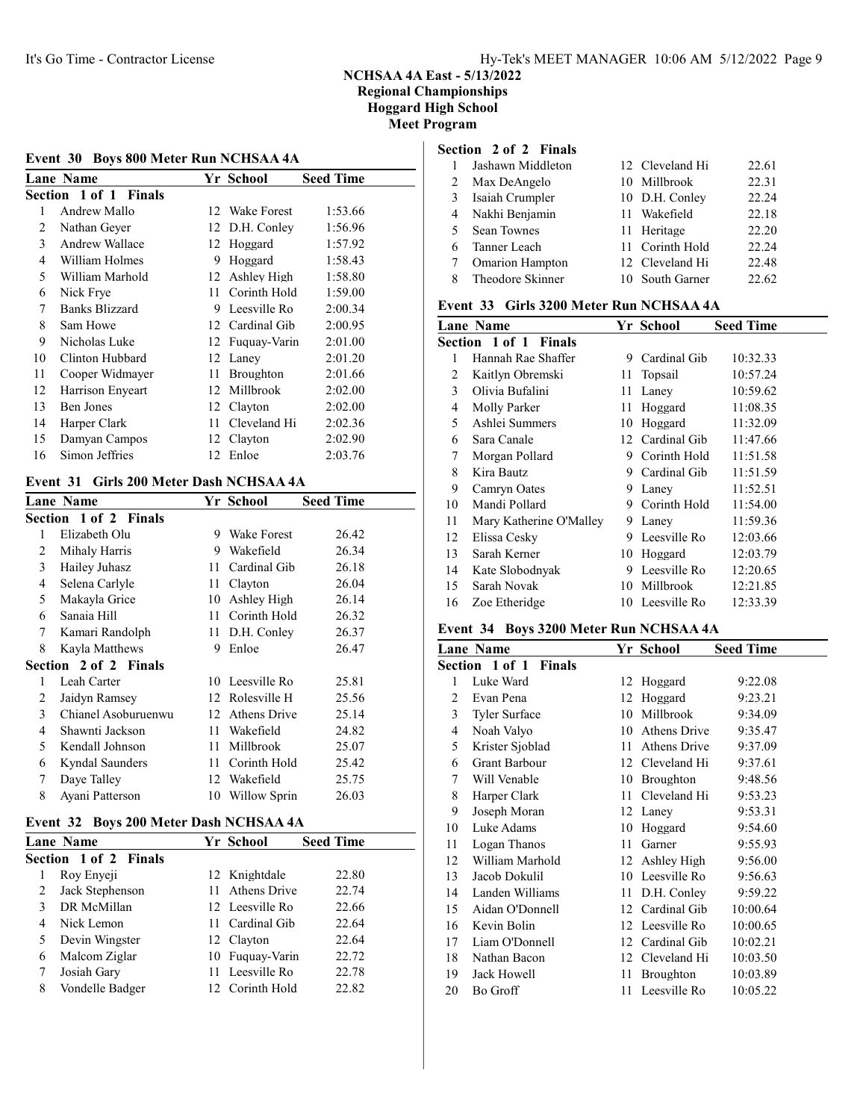## Event 30 Boys 800 Meter Run NCHSAA 4A

|    | <b>Lane Name</b>      |     | Yr School       | <b>Seed Time</b> |
|----|-----------------------|-----|-----------------|------------------|
|    | Section 1 of 1 Finals |     |                 |                  |
| 1  | Andrew Mallo          |     | 12 Wake Forest  | 1:53.66          |
| 2  | Nathan Geyer          |     | 12 D.H. Conley  | 1:56.96          |
| 3  | Andrew Wallace        |     | 12 Hoggard      | 1:57.92          |
| 4  | William Holmes        | 9   | Hoggard         | 1:58.43          |
| 5  | William Marhold       |     | 12 Ashley High  | 1:58.80          |
| 6  | Nick Frye             | 11. | Corinth Hold    | 1:59.00          |
| 7  | Banks Blizzard        | 9.  | Leesville Ro    | 2:00.34          |
| 8  | Sam Howe              |     | 12 Cardinal Gib | 2:00.95          |
| 9  | Nicholas Luke         |     | 12 Fuquay-Varin | 2:01.00          |
| 10 | Clinton Hubbard       |     | 12 Laney        | 2:01.20          |
| 11 | Cooper Widmayer       | 11- | Broughton       | 2:01.66          |
| 12 | Harrison Enyeart      |     | 12 Millbrook    | 2:02.00          |
| 13 | Ben Jones             |     | 12 Clayton      | 2:02.00          |
| 14 | Harper Clark          | 11. | Cleveland Hi    | 2:02.36          |
| 15 | Damyan Campos         |     | 12 Clayton      | 2:02.90          |
| 16 | Simon Jeffries        |     | 12 Enloe        | 2:03.76          |
|    |                       |     |                 |                  |

#### Event 31 Girls 200 Meter Dash NCHSAA 4A

|   | <b>Lane Name</b>             |    | Yr School           | <b>Seed Time</b> |
|---|------------------------------|----|---------------------|------------------|
|   | <b>Section 1 of 2 Finals</b> |    |                     |                  |
| 1 | Elizabeth Olu                | 9  | Wake Forest         | 26.42            |
| 2 | Mihaly Harris                | 9  | Wakefield           | 26.34            |
| 3 | Hailey Juhasz                | 11 | Cardinal Gib        | 26.18            |
| 4 | Selena Carlyle               | 11 | Clayton             | 26.04            |
| 5 | Makayla Grice                | 10 | Ashley High         | 26.14            |
| 6 | Sanaia Hill                  | 11 | Corinth Hold        | 26.32            |
| 7 | Kamari Randolph              | 11 | D.H. Conley         | 26.37            |
| 8 | Kayla Matthews               | 9  | Enloe               | 26.47            |
|   | <b>Section 2 of 2 Finals</b> |    |                     |                  |
| 1 | Leah Carter                  |    | 10 Leesville Ro     | 25.81            |
| 2 | Jaidyn Ramsey                |    | 12 Rolesville H     | 25.56            |
| 3 | Chianel Asoburuenwu          | 12 | <b>Athens Drive</b> | 25.14            |
| 4 | Shawnti Jackson              | 11 | Wakefield           | 24.82            |
| 5 | Kendall Johnson              | 11 | Millbrook           | 25.07            |
| 6 | Kyndal Saunders              | 11 | Corinth Hold        | 25.42            |
| 7 | Daye Talley                  |    | 12 Wakefield        | 25.75            |
| 8 | Ayani Patterson              | 10 | Willow Sprin        | 26.03            |
|   |                              |    |                     |                  |

#### Event 32 Boys 200 Meter Dash NCHSAA 4A

|   | <b>Lane Name</b>             | Yr School       | <b>Seed Time</b> |
|---|------------------------------|-----------------|------------------|
|   | <b>Section 1 of 2 Finals</b> |                 |                  |
|   | Roy Enyeji                   | 12 Knightdale   | 22.80            |
|   | Jack Stephenson              | 11 Athens Drive | 22.74            |
|   | DR McMillan                  | 12 Leesville Ro | 22.66            |
| 4 | Nick Lemon                   | 11 Cardinal Gib | 22.64            |
|   | Devin Wingster               | 12 Clayton      | 22.64            |
| 6 | Malcom Ziglar                | 10 Fuguay-Varin | 22.72            |
|   | Josiah Gary                  | 11 Leesville Ro | 22.78            |
| 8 | Vondelle Badger              | 12 Corinth Hold | 22.82            |
|   |                              |                 |                  |

## Section 2 of 2 Finals

|   | Jashawn Middleton      | 12 Cleveland Hi | 22.61 |
|---|------------------------|-----------------|-------|
| 2 | Max DeAngelo           | 10 Millbrook    | 22.31 |
| 3 | Isaiah Crumpler        | 10 D.H. Conley  | 22.24 |
| 4 | Nakhi Benjamin         | 11 Wakefield    | 22.18 |
| 5 | <b>Sean Townes</b>     | 11 Heritage     | 22.20 |
|   | 6 Tanner Leach         | 11 Corinth Hold | 22.24 |
|   | <b>Omarion Hampton</b> | 12 Cleveland Hi | 22.48 |
|   | Theodore Skinner       | 10 South Garner | 22.62 |

#### Event 33 Girls 3200 Meter Run NCHSAA 4A

|    | <b>Lane Name</b>        |     | Yr School       | <b>Seed Time</b> |
|----|-------------------------|-----|-----------------|------------------|
|    | Section 1 of 1 Finals   |     |                 |                  |
| 1  | Hannah Rae Shaffer      | 9.  | Cardinal Gib    | 10:32.33         |
| 2  | Kaitlyn Obremski        |     | 11 Topsail      | 10:57.24         |
| 3  | Olivia Bufalini         | 11. | Laney           | 10:59.62         |
| 4  | Molly Parker            | 11  | Hoggard         | 11:08.35         |
| 5  | Ashlei Summers          | 10  | Hoggard         | 11:32.09         |
| 6  | Sara Canale             |     | 12 Cardinal Gib | 11:47.66         |
| 7  | Morgan Pollard          |     | 9 Corinth Hold  | 11:51.58         |
| 8  | Kira Bautz              |     | 9 Cardinal Gib  | 11:51.59         |
| 9  | Camryn Oates            | 9   | Laney           | 11:52.51         |
| 10 | Mandi Pollard           | 9   | Corinth Hold    | 11:54.00         |
| 11 | Mary Katherine O'Malley | 9   | Laney           | 11:59.36         |
| 12 | Elissa Cesky            | 9   | Leesville Ro    | 12:03.66         |
| 13 | Sarah Kerner            |     | 10 Hoggard      | 12:03.79         |
| 14 | Kate Slobodnyak         | 9   | Leesville Ro    | 12:20.65         |
| 15 | Sarah Novak             | 10  | Millbrook       | 12:21.85         |
| 16 | Zoe Etheridge           |     | 10 Leesville Ro | 12:33.39         |
|    |                         |     |                 |                  |

#### Event 34 Boys 3200 Meter Run NCHSAA 4A

| <b>Lane Name</b> |                       |     | Yr School        | <b>Seed Time</b> |  |
|------------------|-----------------------|-----|------------------|------------------|--|
|                  | Section 1 of 1 Finals |     |                  |                  |  |
| 1                | Luke Ward             | 12  | Hoggard          | 9:22.08          |  |
| 2                | Evan Pena             | 12  | Hoggard          | 9:23.21          |  |
| 3                | <b>Tyler Surface</b>  | 10  | Millbrook        | 9:34.09          |  |
| 4                | Noah Valyo            | 10  | Athens Drive     | 9:35.47          |  |
| 5                | Krister Sjoblad       | 11  | Athens Drive     | 9:37.09          |  |
| 6                | <b>Grant Barbour</b>  |     | 12 Cleveland Hi  | 9:37.61          |  |
| 7                | Will Venable          | 10  | <b>Broughton</b> | 9:48.56          |  |
| 8                | Harper Clark          | 11  | Cleveland Hi     | 9:53.23          |  |
| 9                | Joseph Moran          |     | 12 Laney         | 9:53.31          |  |
| 10               | Luke Adams            | 10  | Hoggard          | 9:54.60          |  |
| 11               | Logan Thanos          | 11  | Garner           | 9:55.93          |  |
| 12               | William Marhold       |     | 12 Ashley High   | 9:56.00          |  |
| 13               | Jacob Dokulil         |     | 10 Leesville Ro  | 9:56.63          |  |
| 14               | Landen Williams       |     | 11 D.H. Conley   | 9:59.22          |  |
| 15               | Aidan O'Donnell       |     | 12 Cardinal Gib  | 10:00.64         |  |
| 16               | Kevin Bolin           |     | 12 Leesville Ro  | 10:00.65         |  |
| 17               | Liam O'Donnell        |     | 12 Cardinal Gib  | 10:02.21         |  |
| 18               | Nathan Bacon          | 12  | Cleveland Hi     | 10:03.50         |  |
| 19               | Jack Howell           | 11  | Broughton        | 10:03.89         |  |
| 20               | Bo Groff              | 11. | Leesville Ro     | 10:05.22         |  |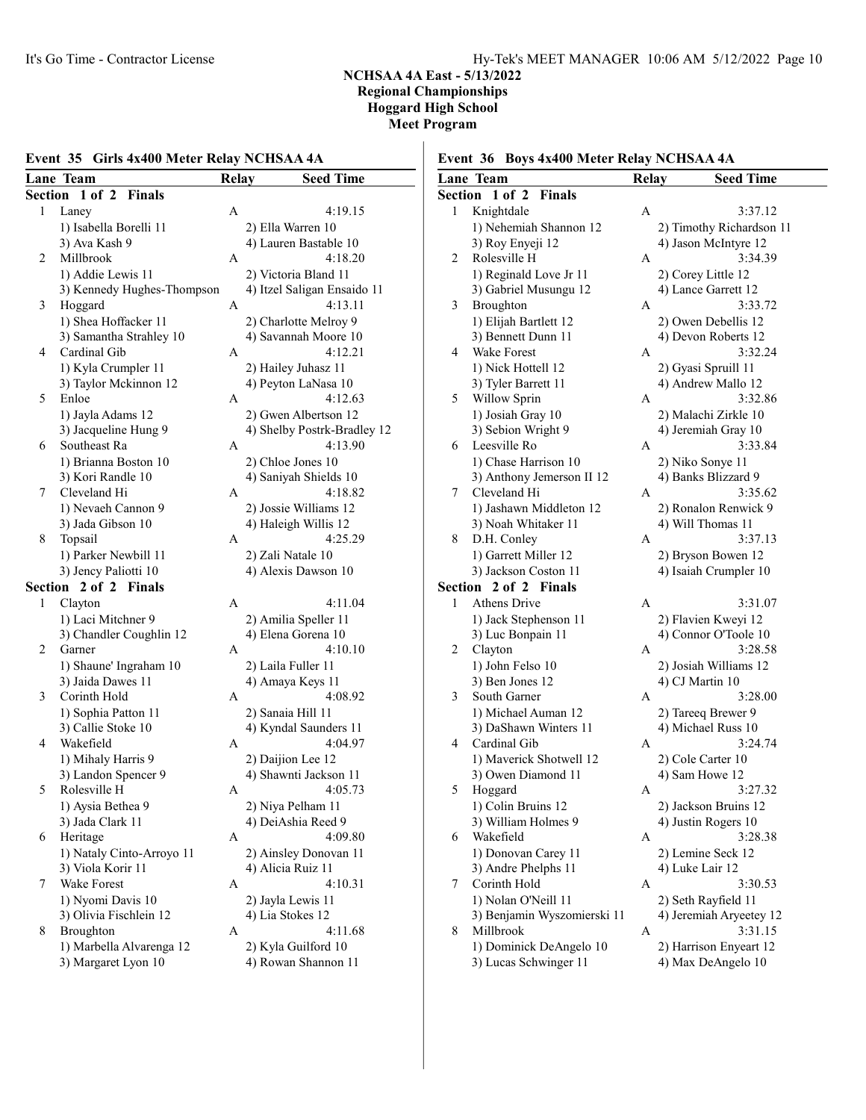### Event 35 Girls 4x400 Meter Relay NCHSAA 4A

|         | Lane Team                            | Relay | <b>Seed Time</b>            |
|---------|--------------------------------------|-------|-----------------------------|
| Section | 1 of 2 Finals                        |       |                             |
| 1       | Laney                                | А     | 4:19.15                     |
|         | 1) Isabella Borelli 11               |       | 2) Ella Warren 10           |
|         | 3) Ava Kash 9                        |       | 4) Lauren Bastable 10       |
| 2       | Millbrook                            | A     | 4:18.20                     |
|         | 1) Addie Lewis 11                    |       | 2) Victoria Bland 11        |
|         | 3) Kennedy Hughes-Thompson           |       | 4) Itzel Saligan Ensaido 11 |
| 3       | Hoggard                              | А     | 4:13.11                     |
|         | 1) Shea Hoffacker 11                 |       | 2) Charlotte Melroy 9       |
|         | 3) Samantha Strahley 10              |       | 4) Savannah Moore 10        |
| 4       | Cardinal Gib                         | А     | 4:12.21                     |
|         | 1) Kyla Crumpler 11                  |       | 2) Hailey Juhasz 11         |
|         | 3) Taylor Mckinnon 12                |       | 4) Peyton LaNasa 10         |
| 5       | Enloe                                | A     | 4:12.63                     |
|         |                                      |       |                             |
|         | 1) Jayla Adams 12                    |       | 2) Gwen Albertson 12        |
| 6       | 3) Jacqueline Hung 9<br>Southeast Ra |       | 4) Shelby Postrk-Bradley 12 |
|         |                                      | А     | 4:13.90                     |
|         | 1) Brianna Boston 10                 |       | 2) Chloe Jones 10           |
|         | 3) Kori Randle 10                    |       | 4) Saniyah Shields 10       |
| 7       | Cleveland Hi                         | A     | 4:18.82                     |
|         | 1) Nevaeh Cannon 9                   |       | 2) Jossie Williams 12       |
|         | 3) Jada Gibson 10                    |       | 4) Haleigh Willis 12        |
| 8       | Topsail                              | A     | 4:25.29                     |
|         | 1) Parker Newbill 11                 |       | 2) Zali Natale 10           |
|         | 3) Jency Paliotti 10                 |       | 4) Alexis Dawson 10         |
| Section | 2 of 2 Finals                        |       |                             |
| 1       | Clayton                              | A     | 4:11.04                     |
|         | 1) Laci Mitchner 9                   |       | 2) Amilia Speller 11        |
|         | 3) Chandler Coughlin 12              |       | 4) Elena Gorena 10          |
| 2       | Garner                               | А     | 4:10.10                     |
|         | 1) Shaune' Ingraham 10               |       | 2) Laila Fuller 11          |
|         | 3) Jaida Dawes 11                    |       | 4) Amaya Keys 11            |
| 3       | Corinth Hold                         | А     | 4:08.92                     |
|         | 1) Sophia Patton 11                  |       | 2) Sanaia Hill 11           |
|         | 3) Callie Stoke 10                   |       | 4) Kyndal Saunders 11       |
| 4       | Wakefield                            | A     | 4:04.97                     |
|         | 1) Mihaly Harris 9                   |       | 2) Daijion Lee 12           |
|         | 3) Landon Spencer 9                  |       | 4) Shawnti Jackson 11       |
| 5       | Rolesville H                         | Α     | 4:05.73                     |
|         | 1) Aysia Bethea 9                    |       | 2) Niya Pelham 11           |
|         | 3) Jada Clark 11                     |       | 4) DeiAshia Reed 9          |
| 6       | Heritage                             | A     | 4:09.80                     |
|         | 1) Nataly Cinto-Arroyo 11            |       | 2) Ainsley Donovan 11       |
|         | 3) Viola Korir 11                    |       | 4) Alicia Ruiz 11           |
| 7       | Wake Forest                          | А     | 4:10.31                     |
|         | 1) Nyomi Davis 10                    |       | 2) Jayla Lewis 11           |
|         | 3) Olivia Fischlein 12               |       | 4) Lia Stokes 12            |
| 8       | Broughton                            | A     | 4:11.68                     |
|         | 1) Marbella Alvarenga 12             |       | 2) Kyla Guilford 10         |
|         | 3) Margaret Lyon 10                  |       | 4) Rowan Shannon 11         |
|         |                                      |       |                             |

## Event 36 Boys 4x400 Meter Relay NCHSAA 4A

|                | Lane Team                                                                                                           | Relay | <b>Seed Time</b>                                                                                          |
|----------------|---------------------------------------------------------------------------------------------------------------------|-------|-----------------------------------------------------------------------------------------------------------|
| <b>Section</b> | $1$ of $2$<br><b>Finals</b>                                                                                         |       |                                                                                                           |
| 1              | Knightdale                                                                                                          | A     | 3:37.12                                                                                                   |
|                | 1) Nehemiah Shannon 12                                                                                              |       | 2) Timothy Richardson 11                                                                                  |
|                | 3) Roy Enyeji 12                                                                                                    |       | 4) Jason McIntyre 12                                                                                      |
| 2              | Rolesville H                                                                                                        | А     | 3:34.39                                                                                                   |
|                | 1) Reginald Love Jr 11                                                                                              |       | 2) Corey Little 12                                                                                        |
|                | 3) Gabriel Musungu 12                                                                                               |       | 4) Lance Garrett 12                                                                                       |
| 3              | Broughton                                                                                                           | А     | 3:33.72                                                                                                   |
|                | 1) Elijah Bartlett 12                                                                                               |       | 2) Owen Debellis 12                                                                                       |
|                | 3) Bennett Dunn 11                                                                                                  |       | 4) Devon Roberts 12                                                                                       |
| 4              | Wake Forest                                                                                                         | А     | 3:32.24                                                                                                   |
|                | 1) Nick Hottell 12                                                                                                  |       | 2) Gyasi Spruill 11                                                                                       |
|                | 3) Tyler Barrett 11                                                                                                 |       | 4) Andrew Mallo 12                                                                                        |
| 5              | Willow Sprin                                                                                                        | A     | 3:32.86                                                                                                   |
|                | 1) Josiah Gray 10                                                                                                   |       | 2) Malachi Zirkle 10                                                                                      |
|                | 3) Sebion Wright 9                                                                                                  |       | 4) Jeremiah Gray 10                                                                                       |
| 6              | Leesville Ro                                                                                                        | A     | 3:33.84                                                                                                   |
|                | 1) Chase Harrison 10                                                                                                |       | 2) Niko Sonye 11                                                                                          |
|                | 3) Anthony Jemerson II 12                                                                                           |       | 4) Banks Blizzard 9                                                                                       |
| 7              | Cleveland Hi                                                                                                        | A     | 3:35.62                                                                                                   |
|                | 1) Jashawn Middleton 12                                                                                             |       | 2) Ronalon Renwick 9                                                                                      |
|                | 3) Noah Whitaker 11                                                                                                 |       | 4) Will Thomas 11                                                                                         |
| 8              | D.H. Conley                                                                                                         | А     | 3:37.13                                                                                                   |
|                | 1) Garrett Miller 12                                                                                                |       | 2) Bryson Bowen 12                                                                                        |
|                | 3) Jackson Coston 11                                                                                                |       | 4) Isaiah Crumpler 10                                                                                     |
| Section        | 2 of 2 Finals                                                                                                       |       |                                                                                                           |
| 1              | <b>Athens Drive</b>                                                                                                 | A     | 3:31.07                                                                                                   |
|                | 1) Jack Stephenson 11                                                                                               |       | 2) Flavien Kweyi 12                                                                                       |
|                | 3) Luc Bonpain 11                                                                                                   |       | 4) Connor O'Toole 10                                                                                      |
| 2              | Clayton                                                                                                             | А     | 3:28.58                                                                                                   |
|                | 1) John Felso 10                                                                                                    |       | 2) Josiah Williams 12                                                                                     |
|                | 3) Ben Jones 12                                                                                                     |       | 4) CJ Martin 10                                                                                           |
| 3              | South Garner                                                                                                        | A     | 3:28.00                                                                                                   |
|                | 1) Michael Auman 12                                                                                                 |       | 2) Tareeq Brewer 9                                                                                        |
|                | 3) DaShawn Winters 11                                                                                               |       | 4) Michael Russ 10                                                                                        |
| 4              | Cardinal Gib                                                                                                        | A     | 3:24.74                                                                                                   |
|                | 1) Maverick Shotwell 12                                                                                             |       | 2) Cole Carter 10                                                                                         |
|                | 3) Owen Diamond 11                                                                                                  |       | 4) Sam Howe 12                                                                                            |
| 5              | Hoggard                                                                                                             | Α     | 3:27.32                                                                                                   |
|                | 1) Colin Bruins 12                                                                                                  |       | 2) Jackson Bruins 12                                                                                      |
|                | 3) William Holmes 9                                                                                                 |       | 4) Justin Rogers 10                                                                                       |
| 6              | Wakefield                                                                                                           | А     | 3:28.38                                                                                                   |
|                | 1) Donovan Carey 11                                                                                                 |       | 2) Lemine Seck 12                                                                                         |
|                | 3) Andre Phelphs 11                                                                                                 |       | 4) Luke Lair 12                                                                                           |
| 7              | Corinth Hold                                                                                                        | A     | 3:30.53                                                                                                   |
|                |                                                                                                                     |       |                                                                                                           |
|                |                                                                                                                     |       |                                                                                                           |
|                |                                                                                                                     |       |                                                                                                           |
|                |                                                                                                                     |       |                                                                                                           |
| 8              | 1) Nolan O'Neill 11<br>3) Benjamin Wyszomierski 11<br>Millbrook<br>1) Dominick DeAngelo 10<br>3) Lucas Schwinger 11 | A     | 2) Seth Rayfield 11<br>4) Jeremiah Aryeetey 12<br>3:31.15<br>2) Harrison Enyeart 12<br>4) Max DeAngelo 10 |